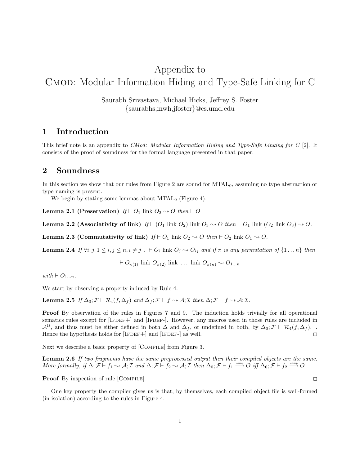# Appendix to Cmod: Modular Information Hiding and Type-Safe Linking for C

Saurabh Srivastava, Michael Hicks, Jeffrey S. Foster {saurabhs,mwh,jfoster}@cs.umd.edu

# 1 Introduction

This brief note is an appendix to CMod: Modular Information Hiding and Type-Safe Linking for C [2]. It consists of the proof of soundness for the formal language presented in that paper.

# 2 Soundness

In this section we show that our rules from Figure 2 are sound for  $MTAL<sub>0</sub>$ , assuming no type abstraction or type naming is present.

We begin by stating some lemmas about  $MTAL_0$  (Figure 4).

**Lemma 2.1 (Preservation)** If  $\vdash O_1$  link  $O_2 \rightarrow O$  then  $\vdash O$ 

**Lemma 2.2 (Associativity of link)** If  $\vdash (O_1 \text{ link } O_2)$  link  $O_3 \rightarrow O$  then  $\vdash O_1$  link  $(O_2 \text{ link } O_3) \rightarrow O$ .

**Lemma 2.3 (Commutativity of link)**  $If \vdash O_1$  link  $O_2 \rightsquigarrow O$  then  $\dashv O_2$  link  $O_1 \rightsquigarrow O$ .

**Lemma 2.4** If  $\forall i, j, 1 \le i, j \le n, i \ne j$ .  $\vdash O_i$  link  $O_j \leadsto O_{ij}$  and if  $\pi$  is any permutation of  $\{1 \dots n\}$  then

$$
\vdash O_{\pi(1)} \text{ link } O_{\pi(2)} \text{ link } \dots \text{ link } O_{\pi(n)} \sim O_{1...n}
$$

with  $\vdash O_{1...n}$ .

We start by observing a property induced by Rule 4.

Lemma 2.5 If  $\Delta_0$ ;  $\mathcal{F} \vdash \mathcal{R}_4(f, \Delta_f)$  and  $\Delta_f$ ;  $\mathcal{F} \vdash f \rightsquigarrow \mathcal{A}; \mathcal{I}$  then  $\Delta; \mathcal{F} \vdash f \rightsquigarrow \mathcal{A}; \mathcal{I}$ .

Proof By observation of the rules in Figures 7 and 9. The induction holds trivially for all operational sematics rules except for [IFDEF+] and [IFDEF-]. However, any macros used in those rules are included in  $\mathcal{A}^{\mathcal{U}}$ , and thus must be either defined in both  $\Delta$  and  $\Delta_f$ , or undefined in both, by  $\Delta_0$ ;  $\mathcal{F} \vdash \mathcal{R}_4(f, \Delta_f)$ . Hence the hypothesis holds for [IFDEF+] and [IFDEF-] as well.  $\Box$ 

Next we describe a basic property of [COMPILE] from Figure 3.

Lemma 2.6 If two fragments have the same preprocessed output then their compiled objects are the same. More formally, if  $\Delta; \mathcal{F} \vdash f_1 \leadsto \mathcal{A}; \mathcal{I}$  and  $\Delta; \mathcal{F} \vdash f_2 \leadsto \mathcal{A}; \mathcal{I}$  then  $\Delta_0; \mathcal{F} \vdash f_1 \xrightarrow{comp} O$  iff  $\Delta_0; \mathcal{F} \vdash f_2 \xrightarrow{comp} O$ 

**Proof** By inspection of rule [COMPILE].

One key property the compiler gives us is that, by themselves, each compiled object file is well-formed (in isolation) according to the rules in Figure 4.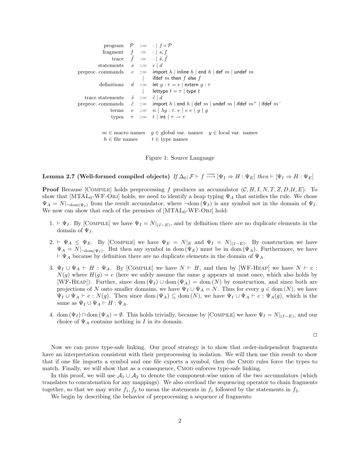| program $\mathcal{P} ::= \cdot   f \circ \mathcal{P}$ |  |  |                                                                                                                                                             |
|-------------------------------------------------------|--|--|-------------------------------------------------------------------------------------------------------------------------------------------------------------|
| fragment $f := \cdot   s, f$                          |  |  |                                                                                                                                                             |
|                                                       |  |  | trace $\tilde{f} := \cdot   \tilde{s}, \tilde{f}$                                                                                                           |
| statements $s ::= c   d$                              |  |  |                                                                                                                                                             |
|                                                       |  |  | preproc. commands $c ::=$ import h indine h end h def m undef m                                                                                             |
|                                                       |  |  | ifdef $m$ then $f$ else $f$                                                                                                                                 |
|                                                       |  |  | definitions $d ::= \text{let } g : \tau = e \mid \text{extern } g : \tau$                                                                                   |
|                                                       |  |  | lettype $t = \tau$   type $t$                                                                                                                               |
| trace statements $\tilde{s} \ ::= \tilde{c} \mid d$   |  |  |                                                                                                                                                             |
|                                                       |  |  | preproc. commands $\tilde{c} ::= \text{import } h \mid \text{end } h \mid \text{def } m \mid \text{under } m \mid \text{ifdef } m^+ \mid \text{ifdef } m^-$ |
|                                                       |  |  | terms $e ::= n   \lambda y : \tau e   e e   y   g$                                                                                                          |
|                                                       |  |  | types $\tau ::= t   \text{int}   \tau \rightarrow \tau$                                                                                                     |
|                                                       |  |  |                                                                                                                                                             |
|                                                       |  |  | $m \in \mathbb{R}$ macro names $q \in \mathbb{R}$ global var. names $y \in \mathbb{R}$ local var. names                                                     |
| $h \in \text{file names}$ $t \in \text{type names}$   |  |  |                                                                                                                                                             |

Figure 1: Source Language

Lemma 2.7 (Well-formed compiled objects) If  $\Delta_0; \mathcal{F} \vdash f \stackrel{comp}{\longrightarrow} [\Psi_I \Rightarrow H : \Psi_E]$  then  $\vdash [\Psi_I \Rightarrow H : \Psi_E]$ 

**Proof** Because [COMPILE] holds preprocessing f produces an accumulator  $(C, H, I, N, T, Z, D, \mathcal{U}, E)$ . To show that  $[MTAL_0-WF-OBJ]$  holds, we need to identify a heap typing  $\Psi_A$  that satisfies the rule. We chose  $\Psi_A = N|_{\text{dom}(\Psi_I)}$  from the result accumulator, where  $\neg \text{dom}(\Psi_I)$  is any symbol not in the domain of  $\Psi_I$ . We now can show that each of the premises of  $[MTAL_0-WF-Obj]$  hold:

- 1.  $\vdash \Psi_I$ . By [COMPILE] we have  $\Psi_I = N|_{(I-E)}$ , and by definition there are no duplicate elements in the domain of  $\Psi_I$ .
- 2.  $\vdash \Psi_A \leq \Psi_E$ . By [COMPILE] we have  $\Psi_E = N|_E$  and  $\Psi_I = N|_{(I-E)}$ . By construction we have  $\Psi_A = N|_{\neg \text{dom}(\Psi_I)}$ . But then any symbol in dom  $(\Psi_E)$  must be in dom  $(\Psi_A)$ . Furthermore, we have  $\vdash \Psi_A$  because by definition there are no duplicate elements in the domain of  $\Psi_A$ .
- 3.  $\Psi_I \cup \Psi_A \vdash H : \Psi_A$ . By [COMPILE] we have  $N \vdash H$ , and then by [WF-HEAP] we have  $N \vdash e$ :  $N(g)$  where  $H(g) = e$  (here we safely assume the same g appears at most once, which also holds by  $[WF-HEAP]$ . Further, since dom  $(\Psi_I) \cup$  dom  $(\Psi_A) =$  dom  $(N)$  by construction, and since both are projections of N onto smaller domains, we have  $\Psi_I \cup \Psi_A = N$ . Thus for every  $g \in \text{dom}(N)$ , we have  $\Psi_I \cup \Psi_A \vdash e : N(g)$ . Then since dom  $(\Psi_A) \subseteq \text{dom}(N)$ , we have  $\Psi_I \cup \Psi_A \vdash e : \Psi_A(g)$ , which is the same as  $\Psi_I \cup \Psi_A \vdash H : \Psi_A$ .
- 4. dom  $(\Psi_I) \cap$  dom  $(\Psi_A) = \emptyset$ . This holds trivially, because by [COMPILE] we have  $\Psi_I = N|_{(I-E)}$ , and our choice of  $\Psi_A$  contains nothing in I in its domain.

 $\Box$ 

Now we can prove type-safe linking. Our proof strategy is to show that order-independent fragments have an interpretation consistent with their preprocessing in isolation. We will then use this result to show that if one file imports a symbol and one file exports a symbol, then the CMOD rules force the types to match. Finally, we will show that as a consequence, CMOD enforces type-safe linking.

In this proof, we will use  $A_1 \cup A_2$  to denote the component-wise union of the two accumulators (which translates to concatenation for any mappings). We also overload the sequencing operator to chain fragments together, so that we may write  $f_1, f_2$  to mean the statements in  $f_1$  followed by the statements in  $f_2$ .

We begin by describing the behavior of preprocessing a sequence of fragments: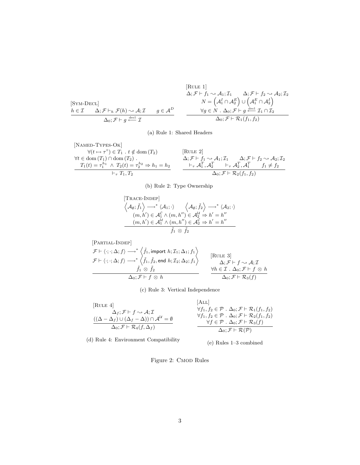$$
\begin{array}{ccc}\n\text{[RULE 1]}\\
\Delta; \mathcal{F} \vdash f_1 \sim \mathcal{A}_1; \mathcal{I}_1 & \Delta; \mathcal{F} \vdash f_2 \sim \mathcal{A}_2; \mathcal{I}_2 \\
N = \left(\mathcal{A}_1^I \cap \mathcal{A}_2^E\right) \cup \left(\mathcal{A}_1^E \cap \mathcal{A}_2^I\right) \\
\hline\nh \in \mathcal{I} & \Delta; \mathcal{F} \vdash_h \mathcal{F}(h) \sim \mathcal{A}; \mathcal{I} & g \in \mathcal{A}^D \\
\Delta_0; \mathcal{F} \vdash g \stackrel{\text{decl}}{\longleftarrow} \mathcal{I} & & \Delta_0; \mathcal{F} \vdash \mathcal{R}_1(f_1, f_2)\n\end{array}
$$

(a) Rule 1: Shared Headers

$$
\begin{array}{llll}\n[\text{NAMED-TYPES-OK}] & & \forall (t \mapsto \tau^{\circ}) \in T_1 \quad t \notin \text{dom}(T_2) & & [\text{RULE 2}] \\
\forall t \in \text{dom}(T_1) \cap \text{dom}(T_2) & \Delta; \mathcal{F} \vdash f_1 \sim \mathcal{A}_1; \mathcal{I}_1 & \Delta; \mathcal{F} \vdash f_2 \sim \mathcal{A}_2; \mathcal{I}_2 \\
& T_1(t) = \tau_1^{h_1} \wedge T_2(t) = \tau_2^{h_2} \Rightarrow h_1 = h_2 & \dfrac{\vdash_{\tau} \mathcal{A}_1^T, \mathcal{A}_2^T & \vdash_{\tau} \mathcal{A}_2^T, \mathcal{A}_1^T & f_1 \neq f_2}{\Delta_0; \mathcal{F} \vdash \mathcal{R}_2(f_1, f_2)}\n\end{array}
$$

(b) Rule 2: Type Ownership

[Trace-INDER]  
\n
$$
\langle A_{\emptyset}; \tilde{f}_{1} \rangle \longrightarrow^* \langle A_{1}; \cdot \rangle \qquad \langle A_{\emptyset}; \tilde{f}_{2} \rangle \longrightarrow^* \langle A_{2}; \cdot \rangle
$$
\n
$$
(m, h') \in \mathcal{A}_{1}^{C} \wedge (m, h'') \in \mathcal{A}_{2}^{U} \Rightarrow h' = h''
$$
\n
$$
(m, h') \in \mathcal{A}_{1}^{U} \wedge (m, h'') \in \mathcal{A}_{2}^{C} \Rightarrow h' = h''
$$
\n
$$
\tilde{f}_{1} \otimes \tilde{f}_{2}
$$

[PARTIAL-INDER]  
\n
$$
\mathcal{F} \vdash \langle :; : \Delta; f \rangle \longrightarrow^* \langle \tilde{f}_1, \text{import } h; \mathcal{I}_1; \Delta_1; f_1 \rangle
$$
  
\n $\mathcal{F} \vdash \langle :; : \Delta; f \rangle \longrightarrow^* \langle \tilde{f}_1, \tilde{f}_2, \text{end } h; \mathcal{I}_2; \Delta_2; f_1 \rangle$   
\n $\overbrace{\Delta_0; \mathcal{F} \vdash f \otimes h}^{\text{max}} \xrightarrow{\forall h \in \mathcal{I} \cdot \Delta_0; \mathcal{F} \vdash f \otimes h}^{\text{max}} \xrightarrow{\forall h \in \mathcal{I} \cdot \Delta_0; \mathcal{F} \vdash f \otimes h}^{\text{max}} \Delta_0; \mathcal{F} \vdash \mathcal{F}_3(f)$ 

(c) Rule 3: Vertical Independence

[Rule 4]  
\n
$$
\Delta_f; \mathcal{F} \vdash f \sim \mathcal{A}; \mathcal{I}
$$
\n
$$
\frac{(\Delta - \Delta_f) \cup (\Delta_f - \Delta)) \cap \mathcal{A}^{\mathcal{U}} = \emptyset}{\Delta_0; \mathcal{F} \vdash \mathcal{R}_4(f, \Delta_f)}
$$
\n[ALL]  
\n
$$
\frac{\forall f_1, f_2 \in \mathcal{P} \cdot \Delta_0; \mathcal{F} \vdash \mathcal{R}_1(f_1, f_2)}{\forall f_1, f_2 \in \mathcal{P} \cdot \Delta_0; \mathcal{F} \vdash \mathcal{R}_2(f_1, f_2)}
$$
\n
$$
\frac{\forall f_1 \in \mathcal{P} \cdot \Delta_0; \mathcal{F} \vdash \mathcal{R}_2(f_1, f_2)}{\forall f \in \mathcal{P} \cdot \Delta_0; \mathcal{F} \vdash \mathcal{R}_3(f)}
$$

(d) Rule 4: Environment Compatibility

(e) Rules 1–3 combined

Figure 2: CMOD Rules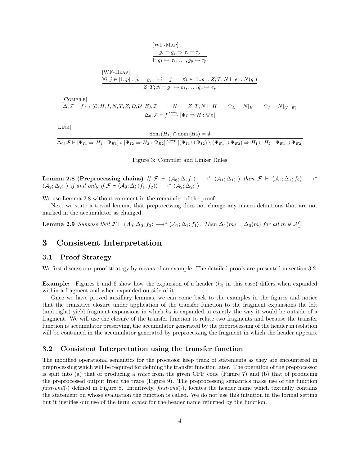$$
g_i = g_j \Rightarrow \tau_i = \tau_j
$$
  
\n
$$
\vdash g_1 \mapsto \tau_1, \dots, g_p \mapsto \tau_p
$$
  
\n[WF-HEAP]  
\n
$$
\forall i, j \in [1..p] \quad g_i = g_j \Rightarrow i = j \qquad \forall i \in [1..p] \quad Z; T; N \vdash e_i : N(g_i)
$$
  
\n
$$
Z; T; N \vdash g_1 \mapsto e_1, \dots, g_p \mapsto e_p
$$

[WF-Map]

[Compile]

$$
\Delta; \mathcal{F} \vdash f \sim (\mathcal{C}, H, I, N, T, Z, D, \mathcal{U}, E); \mathcal{I} \qquad \vdash N \qquad Z; T; N \vdash H \qquad \Psi_E = N|_E \qquad \Psi_I = N|_{(I - E)}
$$
  

$$
\Delta_0; \mathcal{F} \vdash f \stackrel{\text{comp}}{\longrightarrow} [\Psi_I \Rightarrow H : \Psi_E]
$$

[Link]

$$
\operatorname{dom}(H_1) \cap \operatorname{dom}(H_2) = \emptyset
$$
  

$$
\Delta_0; \mathcal{F} \vdash [\Psi_{I1} \Rightarrow H_1 : \Psi_{E1}] \circ [\Psi_{I2} \Rightarrow H_2 : \Psi_{E2}] \stackrel{\text{comp}}{\longrightarrow} [(\Psi_{I1} \cup \Psi_{I2}) \setminus (\Psi_{E1} \cup \Psi_{E2}) \Rightarrow H_1 \cup H_2 : \Psi_{E1} \cup \Psi_{E2}]
$$

Figure 3: Compiler and Linker Rules

Lemma 2.8 (Preprocessing chains) If  $\mathcal{F} \vdash \langle A_{\emptyset}; \Delta; f_1 \rangle \longrightarrow^* \langle A_1; \Delta_1; \cdot \rangle$  then  $\mathcal{F} \vdash \langle A_1; \Delta_1; f_2 \rangle \longrightarrow^*$  $\langle A_2; \Delta_2; \cdot \rangle$  if and only if  $\mathcal{F} \vdash \langle A_\emptyset; \Delta; (f_1, f_2) \rangle \longrightarrow^* \langle A_2; \Delta_2; \cdot \rangle$ 

We use Lemma 2.8 without comment in the remainder of the proof.

Next we state a trivial lemma, that preprocessing does not change any macro definitions that are not marked in the accumulator as changed.

**Lemma 2.9** Suppose that  $\mathcal{F} \vdash \langle A_0; \Delta_0; f_0 \rangle \longrightarrow^* \langle A_1; \Delta_1; f_1 \rangle$ . Then  $\Delta_1(m) = \Delta_0(m)$  for all  $m \notin \mathcal{A}_1^{\mathcal{C}}$ .

## 3 Consistent Interpretation

### 3.1 Proof Strategy

We first discuss our proof strategy by means of an example. The detailed proofs are presented in section 3.2.

**Example:** Figures 5 and 6 show how the expansion of a header  $(h_3$  in this case) differs when expanded within a fragment and when expanded outside of it.

Once we have proved auxillary lemmas, we can come back to the examples in the figures and notice that the transitive closure under application of the transfer function to the fragment expansions the left (and right) yield fragment expansions in which  $h_3$  is expanded in exactly the way it would be outside of a fragment. We will use the closure of the transfer function to relate two fragments and because the transfer function is accumulator preserving, the accumulator generated by the preprocessing of the header in isolation will be contained in the accumulator generated by preprocessing the fragment in which the header appears.

## 3.2 Consistent Interpretation using the transfer function

The modified operational semantics for the processor keep track of statements as they are encountered in preprocessing which will be required for defining the transfer function later. The operation of the preprocessor is split into (a) that of producing a trace from the given CPP code (Figure 7) and (b) that of producing the preprocessed output from the trace (Figure 9). The preprocessing semantics make use of the function first-end(·) defined in Figure 8. Intuitively, first-end(·), locates the header name which textually contains the statement on whose evaluation the function is called. We do not use this intuition in the formal setting but it justifies our use of the term owner for the header name returned by the function.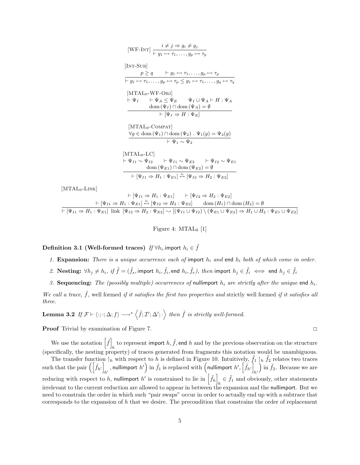$$
[WF-INT] \frac{i \neq j \Rightarrow g_i \neq g_j}{\left[ INT-SUB \right]}
$$
\n
$$
\frac{p \geq q \qquad \vdash g_1 \mapsto \tau_1, \ldots, g_p \mapsto \tau_p}{\left[ \vdash g_1 \mapsto \tau_1, \ldots, g_p \mapsto \tau_p \leq g_1 \mapsto \tau_1, \ldots, g_q \mapsto \tau_q \right]}
$$
\n
$$
[MTAL_0-WF-OBJ] \qquad \vdash \Psi_I \qquad \vdash \Psi_A \leq \Psi_E \qquad \Psi_I \cup \Psi_A \vdash H : \Psi_A
$$
\n
$$
\frac{\text{dom}(\Psi_I) \cap \text{dom}(\Psi_A) = \emptyset}{\left[ \Psi_I \Rightarrow H : \Psi_E \right]}
$$
\n
$$
[MTAL_0-COMPAT] \qquad \qquad \forall g \in \text{dom}(\Psi_1) \cap \text{dom}(\Psi_2) \quad \Psi_1(g) = \Psi_2(g) \qquad \qquad \vdash \Psi_1 \sim \Psi_2
$$
\n
$$
[MTAL_0-LC] \qquad \qquad \vdash \Psi_{I1} \sim \Psi_{E2} \qquad \vdash \Psi_{I2} \sim \Psi_{E1}
$$
\n
$$
\frac{\text{dom}(\Psi_{E1}) \cap \text{dom}(\Psi_{E2}) = \emptyset}{\left[ \Psi_{I1} \Rightarrow H_1 : \Psi_{E1} \right] \xrightarrow{\text{log}(\Psi_{E2})} \Psi_2 : \Psi_{E2}}
$$

 $[MTAL_0-LINK]$ 

$$
\vdash [\Psi_{I1} \Rightarrow H_1 : \Psi_{E1}] \qquad \vdash [\Psi_{I2} \Rightarrow H_2 : \Psi_{E2}] \n\vdash [\Psi_{I1} \Rightarrow H_1 : \Psi_{E1}] \stackrel{\text{lc}}{\leftrightarrow} [\Psi_{I2} \Rightarrow H_2 : \Psi_{E2}] \qquad \text{dom}(H_1) \cap \text{dom}(H_2) = \emptyset \n\vdash [\Psi_{I1} \Rightarrow H_1 : \Psi_{E1}] \text{ link } [\Psi_{I2} \Rightarrow H_2 : \Psi_{E2}] \sim [(\Psi_{I1} \cup \Psi_{I2}) \setminus (\Psi_{E1} \cup \Psi_{E2}) \Rightarrow H_1 \cup H_2 : \Psi_{E1} \cup \Psi_{E2}]
$$

Figure 4:  $MTAL<sub>0</sub>$  [1]

# Definition 3.1 (Well-formed traces)  $\emph{If $\forall h_i$}.$ import  $h_i \in \tilde{f}$

- 1. Expansion: There is a unique occurrence each of import  $h_i$  and end  $h_i$  both of which come in order.
- 2.  $\textbf{Nesting:} \ \forall h_j \neq h_i, \ if \ \tilde{f} = (\tilde{f}_s, \text{import } h_i, \tilde{f}_i, \text{end } h_i, \tilde{f}_e), \ then \ import \ h_j \in \tilde{f}_i \iff \text{end } h_j \in \tilde{f}_i$
- 3. Sequencing: The (possibly multiple) occurrences of nullimport  $h_i$  are strictly after the unique end  $h_i$ .

We call a trace,  $f$ , well formed if it satisfies the first two properties and strictly well formed if it satisfies all three.

**Lemma 3.2** If 
$$
\mathcal{F} \vdash \langle \cdot; \cdot; \Delta; f \rangle \longrightarrow^* \langle \tilde{f}; \mathcal{I}'; \Delta'; \cdot \rangle
$$
 then  $\tilde{f}$  is strictly well-formed.

**Proof** Trivial by examination of Figure 7.

We use the notation  $\left[\tilde{f}\right]$ to represent import  $h, \tilde{f}$ , end h and by the previous observation on the structure (specifically, the nesting property) of traces generated from fragments this notation would be unambiguous.

The transfer function  $\hat{h}$  with respect to h is defined in Figure 10. Intuitively,  $\tilde{f}_1 \hat{h}$   $\tilde{f}_2$  relates two traces such that the pair  $\left( \left[ \tilde{f}_{h'} \right] \right)$ , nullimport  $h'$  in  $\tilde{f}_1$  is replaced with (nullimport  $h', \left[\tilde{f}_{h'}\right]_{h'}$  $h<sup>′</sup>$ ) in  $\tilde{f}_2$ . Because we are reducing with respect to h, nullimport h' is constrained to lie in  $\left[\tilde{f}_h\right]$  $h \in \tilde{f}_1$  and obviously, other statements irrelevant to the current reduction are allowed to appear in between the expansion and the nullimport. But we need to constrain the order in which such "pair swaps" occur in order to actually end up with a subtrace that corresponds to the expansion of h that we desire. The precondition that constrains the order of replacement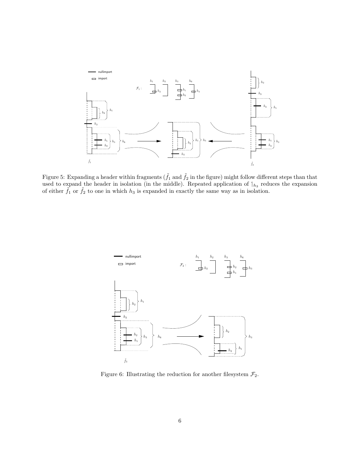

Figure 5: Expanding a header within fragments ( $\tilde{f}_1$  and  $\tilde{f}_2$  in the figure) might follow different steps than that used to expand the header in isolation (in the middle). Repeated application of  $\mathcal{L}_{h_3}$  reduces the expansion of either  $\tilde{f}_1$  or  $\tilde{f}_2$  to one in which  $h_3$  is expanded in exactly the same way as in isolation.



Figure 6: Illustrating the reduction for another filesystem  $\mathcal{F}_2$ .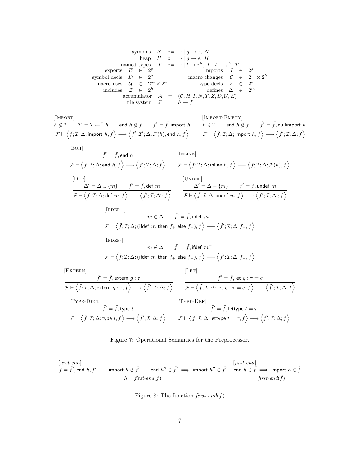$$
\begin{array}{ccccccccc} &\text{symbols} & N & ::= & \cdot \mid g \rightarrow \tau, \ N & \text{heap} & H & ::= & \cdot \mid g \rightarrow e, \ H & \\ & \text{named types} & T & ::= & \cdot \mid t \rightarrow \tau^h, \ T \mid t \rightarrow \tau^\circ, \ T & \\ & \text{exports} & E & \in & 2^g & \text{imports} & I & \in & 2^g \\ \text{symbol{edcls} & D & \in & 2^g & \text{macro changes} & C & \in & 2^m \times 2^h \\ & \text{macro uses} & \mathcal{U} & \in & 2^n & \text{type } \text{decls} & Z & \in & 2^t \\ & \text{includes} & \mathcal{I} & \in & 2^h & \text{defines} & \Delta & \in & 2^m \\ & \text{accuracy under} & \mathcal{F} & : & h \rightarrow f & \end{array}
$$

$$
\begin{array}{ll}\n\text{[MPORT]} & \multicolumn{3}{l}{h \not\in \mathcal{I}} & \multicolumn{3}{l}{\mathcal{I}' = \mathcal{I} \leftarrow^+ h} & \text{end } h \not\in f \quad \text{ $\tilde{f}' = \tilde{f}$, import $h$} & \multicolumn{3}{l}{\text{[MPORT-EMPTY]}}\\
\hline\n\mathcal{F} \vdash \left\langle \tilde{f}; \mathcal{I}; \Delta; \text{import } h, f \right\rangle \longrightarrow \left\langle \tilde{f}'; \mathcal{I}'; \Delta; \mathcal{F}(h), \text{end } h, f \right\rangle & \multicolumn{3}{l}{\mathcal{F} \vdash \left\langle \tilde{f}; \mathcal{I}; \Delta; \text{import } h, f \right\rangle \longrightarrow \left\langle \tilde{f}'; \mathcal{I}; \Delta; f \right\rangle} \\
\hline\n\end{array}
$$

$$
\begin{array}{ll}\n[\text{EOH}] & \tilde{f}' = \tilde{f}, \text{end } h \\
\overline{\mathcal{F} \vdash \left\langle \tilde{f}; \mathcal{I}; \Delta; \text{end } h, f \right\rangle} \longrightarrow \left\langle \tilde{f}'; \mathcal{I}; \Delta; f \right\rangle & \xrightarrow{\text{[INLINE]}} \\
[\text{DEF}] & \xrightarrow{\Delta'} = \Delta \cup \{m\} \qquad \tilde{f}' = \tilde{f}, \text{def } m \\
\overline{\mathcal{F} \vdash \left\langle \tilde{f}; \mathcal{I}; \Delta; \text{inline } h, f \right\rangle} \longrightarrow \left\langle \tilde{f}; \mathcal{I}; \Delta; \mathcal{F}(h), f \right\rangle} & \xrightarrow{\text{[UNDEF]}} \\
\overline{\Delta'} = \Delta \cup \{m\} \qquad \tilde{f}' = \tilde{f}, \text{def } m \\
\overline{\mathcal{F} \vdash \left\langle \tilde{f}; \mathcal{I}; \Delta; \text{if } m, f \right\rangle} \longrightarrow \left\langle \tilde{f}'; \mathcal{I}; \Delta'; f \right\rangle} & \xrightarrow{\mathcal{F} \vdash \left\langle \tilde{f}; \mathcal{I}; \Delta; \text{under } m, f \right\rangle} \longrightarrow \left\langle \tilde{f}'; \mathcal{I}; \Delta'; f \right\rangle}\n\end{array}
$$

$$
\cfrac{[\text{IFDEF}+] }{ \mathcal{F} \vdash \Big\langle \tilde{f}; \mathcal{I}; \Delta; (\text{ifdef $m$ then $f_+$ else $f_-), f \Big\rangle \longrightarrow \Big\langle \tilde{f}'; \mathcal{I}; \Delta; f_+, f \Big\rangle}
$$

$$
\begin{bmatrix} \text{IFDEF} \\ \end{bmatrix}
$$

$$
m \notin \Delta \qquad \tilde{f}' = \tilde{f}, \text{ifdef } m^-
$$
  

$$
\mathcal{F} \vdash \left\langle \tilde{f}; \mathcal{I}; \Delta; (\text{ifdef } m \text{ then } f_+ \text{ else } f_-), f \right\rangle \longrightarrow \left\langle \tilde{f}'; \mathcal{I}; \Delta; f_-, f \right\rangle
$$

[EXTERN]

$$
\begin{array}{ll}\n[\text{Extern}] & \text{[LET]} \\
\hline\n\mathcal{F} \vdash \langle \tilde{f}; \mathcal{I}; \Delta; \text{extern } g: \tau \rangle & \text{[LET]} \\
\hline\n\mathcal{F} \vdash \langle \tilde{f}; \mathcal{I}; \Delta; \text{extern } g: \tau, f \rangle \longrightarrow \langle \tilde{f}'; \mathcal{I}; \Delta; f \rangle & \mathcal{F} \vdash \langle \tilde{f}; \mathcal{I}; \Delta; \text{let } g: \tau = e, f \rangle \longrightarrow \langle \tilde{f}'; \mathcal{I}; \Delta; f \rangle \\
[\text{Type-DECL}] & \text{[Type-DEF]} \\
\hline\n\mathcal{F} \vdash \langle \tilde{f}; \mathcal{I}; \Delta; \text{type } t, f \rangle \longrightarrow \langle \tilde{f}'; \mathcal{I}; \Delta; f \rangle & \mathcal{F} \vdash \langle \tilde{f}; \mathcal{I}; \Delta; \text{lettype } t = \tau, f \rangle \longrightarrow \langle \tilde{f}'; \mathcal{I}; \Delta; f \rangle\n\end{array}
$$

## Figure 7: Operational Semantics for the Preprocessor.

$$
\underbrace{\tilde{f} = \tilde{f}', \text{end } h, \tilde{f}'' \qquad \text{import } h \notin \tilde{f}' \qquad \text{end } h'' \in \tilde{f}' \implies \text{import } h'' \in \tilde{f}' \qquad \underbrace{\text{ifrst-end}}_{\cdot \text{end } \text{if}} \quad \underbrace{\text{ifrst-end}}_{\cdot \text{end } \text{if} \qquad \text{if} \qquad \tilde{f} \implies \text{import } h \in \tilde{f} \qquad \text{if} \qquad \tilde{f} \implies \text{if} \qquad \tilde{f} \implies \tilde{f} \implies \tilde{f} \implies \tilde{f} \implies \tilde{f} \implies \tilde{f} \implies \tilde{f} \implies \tilde{f} \implies \tilde{f} \implies \tilde{f} \implies \tilde{f} \implies \tilde{f} \implies \tilde{f} \implies \tilde{f} \implies \tilde{f} \implies \tilde{f} \implies \tilde{f} \implies \tilde{f} \implies \tilde{f} \implies \tilde{f} \implies \tilde{f} \implies \tilde{f} \implies \tilde{f} \implies \tilde{f} \implies \tilde{f} \implies \tilde{f} \implies \tilde{f} \implies \tilde{f} \implies \tilde{f} \implies \tilde{f} \implies \tilde{f} \implies \tilde{f} \implies \tilde{f} \implies \tilde{f} \implies \tilde{f} \implies \tilde{f} \implies \tilde{f} \implies \tilde{f} \implies \tilde{f} \implies \tilde{f} \implies \tilde{f} \implies \tilde{f} \implies \tilde{f} \implies \tilde{f} \implies \tilde{f} \implies \tilde{f} \implies \tilde{f} \implies \tilde{f} \implies \tilde{f} \implies \tilde{f} \implies \tilde{f} \implies \tilde{f} \implies \tilde{f} \implies \tilde{f} \implies \tilde{f} \implies \tilde{f} \implies \tilde{f} \implies \tilde{f} \implies \tilde{f} \implies \tilde{f} \implies \tilde{f} \implies \tilde{f} \implies \tilde{f}
$$

Figure 8: The function  $\hat{f}$ rst-end $(\tilde{f})$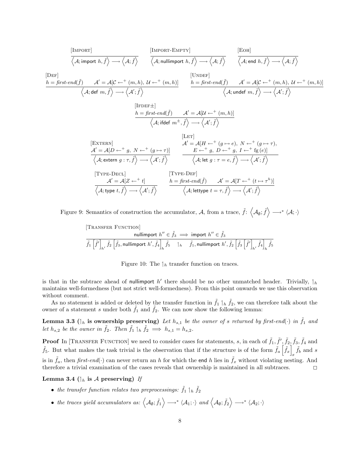$$
\frac{\text{[IMPORT]}}{\langle A; \text{import } h, \hat{f} \rangle \longrightarrow \langle A; \hat{f} \rangle} \qquad \frac{\text{[IMPORT-EMPTY]}}{\langle A; \text{nullimport } h, \hat{f} \rangle \longrightarrow \langle A; \hat{f} \rangle} \qquad \frac{\text{[EOH]}}{\langle A; \text{end } h, \hat{f} \rangle \longrightarrow \langle A; \hat{f} \rangle}
$$
\n
$$
\frac{\text{[DEF]}}{h = \text{first-end}(\hat{f}) \qquad A' = A[C \leftarrow^+(m, h), U \leftarrow^+(m, h)]}{\langle A; \text{def } m, \hat{f} \rangle \longrightarrow \langle A'; \hat{f} \rangle} \qquad \frac{\text{[LNDEF]}}{\langle A; \text{under } m, \hat{f} \rangle \longrightarrow \langle A'; \hat{f} \rangle} \qquad \frac{\text{[LNDEF]}}{\langle A; \text{under } m, \hat{f} \rangle \longrightarrow \langle A'; \hat{f} \rangle}}{\langle A; \text{ifdef } m^{\pm}, \hat{f} \rangle \longrightarrow \langle A'; \hat{f} \rangle}
$$
\n
$$
\frac{\text{[LET]}}{\langle A; \text{ifdef } m^{\pm}, \hat{f} \rangle \longrightarrow \langle A'; \hat{f} \rangle}}{\langle A; \text{ifdef } m^{\pm}, \hat{f} \rangle \longrightarrow \langle A'; \hat{f} \rangle}
$$
\n
$$
\frac{\text{[LET]}}{\langle A; \text{extern } g: \tau, \hat{f} \rangle \longrightarrow \langle A'; \hat{f} \rangle}}{\langle A; \text{extern } g: \tau, \hat{f} \rangle \longrightarrow \langle A'; \hat{f} \rangle} \qquad \frac{\text{[LET]}}{\langle A; \text{let } g: \tau = e, \hat{f} \rangle \longrightarrow \langle A'; \hat{f} \rangle}}{\langle A; \text{let } g: \tau = e, \hat{f} \rangle \longrightarrow \langle A'; \hat{f} \rangle}
$$
\n
$$
\frac{\text{[TYPE-DEF]}}{\langle A; \text{type } t, \hat{f} \rangle \longrightarrow \langle A'; \hat{f} \rangle} \qquad \frac{\text{[TYPE-DEF]}}{\langle A; \text{let type } t = \tau, \hat{f} \rangle \longrightarrow \langle A'; \hat{f} \rangle}}{\langle A; \text{let } g: \tau = e, \hat{f} \rangle \longrightarrow \langle A'; \hat{
$$

Figure 9: Semantics of construction the accumulator, A, from a trace,  $\tilde{f}$ :  $\langle A_{\emptyset}; \tilde{f} \rangle \longrightarrow^* \langle A; \cdot \rangle$ 

[Transfer FUNCTION]  
\nnullimport 
$$
h'' \in \tilde{f}_3 \implies
$$
 import  $h'' \in \tilde{f}_3$   
\n
$$
\overline{\tilde{f}_1\left[\tilde{f}'\right]_{h'} \tilde{f}_2\left[\tilde{f}_3, \text{nullimport } h', \tilde{f}_4\right]_{h} \tilde{f}_5} \quad \text{1a} \quad \tilde{f}_1, \text{nullimport } h', \tilde{f}_2\left[\tilde{f}_3\left[\tilde{f}'\right]_{h'}, \tilde{f}_4\right]_{h} \tilde{f}_5}
$$



is that in the subtrace ahead of nullimport  $h'$  there should be no other unmatched header. Trivially,  $\mathcal{h}_h$ maintains well-formedness (but not strict well-formedness). From this point onwards we use this observation without comment.

As no statement is added or deleted by the transfer function in  $\tilde{f}_1 \parallel_h \tilde{f}_2$ , we can therefore talk about the owner of a statement s under both  $\tilde{f}_1$  and  $\tilde{f}_2$ . We can now show the following lemma:

**Lemma 3.3** ( $\vert_h$  is ownership preserving) Let  $h_{s,1}$  be the owner of s returned by first-end( $\cdot$ ) in  $\tilde{f}_1$  and let  $h_{s,2}$  be the owner in  $\tilde{f}_2$ . Then  $\tilde{f}_1 \rvert_h \tilde{f}_2 \implies h_{s,1} = h_{s,2}$ .

**Proof** In [TRANSFER FUNCTION] we need to consider cases for statements, s, in each of  $\tilde{f}_1$ ,  $\tilde{f}', \tilde{f}_2$ ,  $\tilde{f}_3$ ,  $\tilde{f}_4$  and  $\tilde{f}_5$ . But what makes the task trivial is the observation that if the structure is of the form  $\tilde{f}_a\left[\tilde{f}_x\right]$  $\tilde{f}_b$  and s is in  $\hat{f}_a$ , then first-end(·) can never return an h for which the end h lies in  $\hat{f}_x$  without violating nesting. And therefore a trivial examination of the cases reveals that ownership is maintained in all subtraces.  $\Box$ 

Lemma 3.4 ( $\vert_h$  is A preserving) If

- the transfer function relates two preprocessings:  $\tilde{f}_1 \parallel_h \tilde{f}_2$
- the traces yield accumulators as:  $\langle A_{\emptyset}$ ;  $\tilde{f}_1 \rangle \longrightarrow^* \langle A_1; \cdot \rangle$  and  $\langle A_{\emptyset}$ ;  $\tilde{f}_2 \rangle \longrightarrow^* \langle A_2; \cdot \rangle$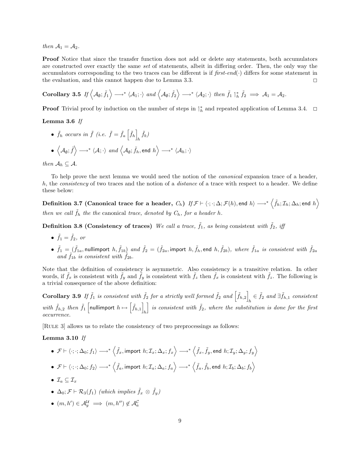then  $A_1 = A_2$ .

Proof Notice that since the transfer function does not add or delete any statements, both accumulators are constructed over exactly the same set of statements, albeit in differing order. Then, the only way the accumulators corresponding to the two traces can be different is if  $first-end(\cdot)$  differs for some statement in the evaluation, and this cannot happen due to Lemma 3.3. <sup>2</sup>

Corollary 3.5 If 
$$
\langle A_{\emptyset}; \tilde{f}_1 \rangle \longrightarrow^* \langle A_1; \cdot \rangle
$$
 and  $\langle A_{\emptyset}; \tilde{f}_2 \rangle \longrightarrow^* \langle A_2; \cdot \rangle$  then  $\tilde{f}_1 \uparrow_h^* \tilde{f}_2 \implies A_1 = A_2$ .

**Proof** Trivial proof by induction on the number of steps in  $\uparrow_h^*$  and repeated application of Lemma 3.4.  $\Box$ 

Lemma 3.6 If

•  $\tilde{f}_h$  occurs in  $\tilde{f}$  (i.e.  $\tilde{f} = \tilde{f}_a \left[ \tilde{f}_h \right]$  $\tilde{f}_b$  $\bullet$   $\left\langle \mathcal{A}_{\emptyset};\widetilde{f}\right\rangle \longrightarrow^{*}\left\langle \mathcal{A};\cdot\right\rangle$   $and$   $\left\langle \mathcal{A}_{\emptyset};\widetilde{f}_{h},$  end  $h\right\rangle \longrightarrow^{*}\left\langle \mathcal{A}_{h};\cdot\right\rangle$ 

then  $\mathcal{A}_h \subseteq \mathcal{A}$ .

To help prove the next lemma we would need the notion of the canonical expansion trace of a header, h, the consistency of two traces and the notion of a distance of a trace with respect to a header. We define these below:

Definition 3.7 (Canonical trace for a header,  $C_h)$  If  $\mathcal{F} \vdash \langle \cdot ; \cdot ; \Delta ; \mathcal{F}(h),$  end  $h \rangle \longrightarrow^* \left\langle \tilde{f}_h ; \mathcal{I}_h; \Delta_h;$  end  $h \right\rangle$ then we call  $\tilde{f}_h$  the the canonical trace, denoted by  $C_h$ , for a header h.

**Definition 3.8 (Consistency of traces)** We call a trace,  $\tilde{f}_1$ , as being consistent with  $\tilde{f}_2$ , iff

- $\tilde{f}_1 = \tilde{f}_2$ , or
- $\bullet$   $\tilde{f}_1 = (\tilde{f}_{1a},$  nullimport  $h, \tilde{f}_{1b})$  and  $\tilde{f}_2 = (\tilde{f}_{2a},$  import  $h, \tilde{f}_h,$  end  $h, \tilde{f}_{2b})$ , where  $\tilde{f}_{1a}$  is consistent with  $\tilde{f}_{2a}$ and  $\tilde{f}_{1b}$  is consistent with  $\tilde{f}_{2b}$ .

Note that the definition of consistency is asymmetric. Also consistency is a transitive relation. In other words, if  $\tilde{f}_x$  is consistent with  $\tilde{f}_y$  and  $\tilde{f}_y$  is consistent with  $\tilde{f}_z$  then  $\tilde{f}_x$  is consistent with  $\tilde{f}_z$ . The following is a trivial consequence of the above definition:

**Corollary 3.9** If  $\tilde{f}_1$  is consistent with  $\tilde{f}_2$  for a strictly well formed  $\tilde{f}_2$  and  $\begin{bmatrix} \tilde{f}_{h,2} \end{bmatrix} \in \tilde{f}_2$  and  $\exists \tilde{f}_{h,1}$  consistent with  $\tilde{f}_{h,2}$  then  $\tilde{f}_1$  nullimport  $h \mapsto [\tilde{f}_{h,1}]$  is consistent with  $\tilde{f}_2$ , where the substitution h is consistent with  $\tilde{f}_2$ , where the substitution is done for the first occurrence.

[Rule 3] allows us to relate the consistency of two preprocessings as follows:

#### Lemma 3.10 If

- $\bullet$   ${\mathcal F} \vdash \langle \cdot ; \cdot ; \Delta_0; f_1 \rangle \longrightarrow^* \left\langle \tilde{f}_x, \text{import } h; {\mathcal I}_x; \Delta_x; f_x \right\rangle \longrightarrow^* \left\langle \tilde{f}_x, \tilde{f}_y, \text{end } h; {\mathcal I}_y; \Delta_y; f_y \right\rangle$  $\bullet$   ${\mathcal F} \vdash \langle \cdot ; \cdot ; \Delta_0; f_2 \rangle \longrightarrow^* \left\langle \tilde{f}_a, \mathsf{import }~ h; \mathcal{I}_a; \Delta_a; f_a \right\rangle \longrightarrow^* \left\langle \tilde{f}_a, \tilde{f}_b, \mathsf{end}~ h; \mathcal{I}_b; \Delta_b; f_b \right\rangle$
- $\mathcal{I}_a \subset \mathcal{I}_x$
- $\Delta_0; \mathcal{F} \vdash \mathcal{R}_3(f_1)$  (which implies  $\tilde{f}_x \otimes \tilde{f}_y$ )
- $(m, h') \in \mathcal{A}_y^{\mathcal{U}} \implies (m, h'') \notin \mathcal{A}_a^{\mathcal{C}}$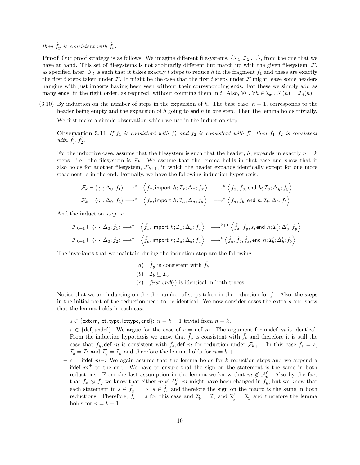## then  $\tilde{f}_y$  is consistent with  $\tilde{f}_b$ .

**Proof** Our proof strategy is as follows: We imagine different filesystems,  $\{\mathcal{F}_1, \mathcal{F}_2 \dots\}$ , from the one that we have at hand. This set of filesystems is not arbitrarily different but match up with the given filesystem,  $\mathcal F$ . as specified later.  $\mathcal{F}_t$  is such that it takes exactly t steps to reduce h in the fragment  $f_1$  and these are exactly the first t steps taken under  $\mathcal F$ . It might be the case that the first t steps under  $\mathcal F$  might leave some headers hanging with just imports having been seen without their corresponding ends. For these we simply add as many ends, in the right order, as required, without counting them in t. Also,  $\forall i \cdot \forall h \in \mathcal{I}_x \cdot \mathcal{F}(h) = \mathcal{F}_i(h)$ .

(3.10) By induction on the number of steps in the expansion of h. The base case,  $n = 1$ , corresponds to the header being empty and the expansion of h going to end h in one step. Then the lemma holds trivially.

We first make a simple observation which we use in the induction step:

**Observation 3.11** If  $\tilde{f}_1$  is consistent with  $\tilde{f}_1'$  and  $\tilde{f}_2$  is consistent with  $\tilde{f}_2'$ , then  $\tilde{f}_1$ ,  $\tilde{f}_2$  is consistent with  $\tilde{f}'_1, \tilde{f}'_2$ .

For the inductive case, assume that the filesystem is such that the header, h, expands in exactly  $n = k$ steps. i.e. the filesystem is  $\mathcal{F}_k$ . We assume that the lemma holds in that case and show that it also holds for another filesystem,  $\mathcal{F}_{k+1}$ , in which the header expands identically except for one more statement, s in the end. Formally, we have the following induction hypothesis:

$$
\mathcal{F}_k \vdash \langle \cdot; \cdot; \Delta_0; f_1 \rangle \longrightarrow^* \left\langle \tilde{f}_x, \text{import } h; \mathcal{I}_x; \Delta_x; f_x \rangle \longrightarrow^k \left\langle \tilde{f}_x, \tilde{f}_y, \text{end } h; \mathcal{I}_y; \Delta_y; f_y \right\rangle
$$
  

$$
\mathcal{F}_k \vdash \langle \cdot; \cdot; \Delta_0; f_2 \rangle \longrightarrow^* \left\langle \tilde{f}_a, \text{import } h; \mathcal{I}_a; \Delta_a; f_a \right\rangle \longrightarrow^* \left\langle \tilde{f}_a, \tilde{f}_b, \text{end } h; \mathcal{I}_b; \Delta_b; f_b \right\rangle
$$

And the induction step is:

$$
\mathcal{F}_{k+1} \vdash \langle \cdot; \cdot; \Delta_0; f_1 \rangle \longrightarrow^* \left\langle \tilde{f}_x, \text{import } h; \mathcal{I}_x; \Delta_x; f_x \rangle \longrightarrow^{k+1} \left\langle \tilde{f}_x, \tilde{f}_y, s, \text{end } h; \mathcal{I}'_y; \Delta'_y; f_y \rangle \right\}
$$
\n
$$
\mathcal{F}_{k+1} \vdash \langle \cdot; \cdot; \Delta_0; f_2 \rangle \longrightarrow^* \left\langle \tilde{f}_a, \text{import } h; \mathcal{I}_a; \Delta_a; f_a \rangle \longrightarrow^* \left\langle \tilde{f}_a, \tilde{f}_b, \tilde{f}_s, \text{end } h; \mathcal{I}'_b; \Delta'_b; f_b \right\rangle
$$

The invariants that we maintain during the induction step are the following:

(a)  $\tilde{f}_y$  is consistent with  $\tilde{f}_b$ (b)  $\mathcal{I}_b \subseteq \mathcal{I}_y$ (c)  $first-end(\cdot)$  is identical in both traces

Notice that we are inducting on the the number of steps taken in the reduction for  $f_1$ . Also, the steps in the initial part of the reduction need to be identical. We now consider cases the extra s and show that the lemma holds in each case:

- $s \in \{\text{extern}, \text{let}, \text{type}, \text{lettype}, \text{end}\}: n = k + 1 \text{ trivial from } n = k.$
- $-s \in \{def, under\}$ : We argue for the case of  $s = def m$ . The argument for undef m is identical. From the induction hypothesis we know that  $\tilde{f}_y$  is consistent with  $\tilde{f}_b$  and therefore it is still the case that  $\tilde{f}_y$ , def m is consistent with  $\tilde{f}_b$ , def m for reduction under  $\mathcal{F}_{k+1}$ . In this case  $\tilde{f}_s = s$ ,  $\mathcal{I}'_b = \mathcal{I}_b$  and  $\mathcal{I}'_y = \mathcal{I}_y$  and therefore the lemma holds for  $n = k + 1$ .
- $s =$  ifdef  $m^{\pm}$ : We again assume that the lemma holds for k reduction steps and we append a ifdef  $m<sup>\pm</sup>$  to the end. We have to ensure that the sign on the statement is the same in both reductions. From the last assumption in the lemma we know that  $m \notin \mathcal{A}_{a}^{\mathcal{C}}$ . Also by the fact that  $ilde{f}_x \otimes \tilde{f}_y$  we know that either  $m \notin \mathcal{A}_x^{\mathcal{C}}$ . m might have been changed in  $\tilde{f}_y$ , but we know that each statement in  $s \in \hat{f}_x \implies s \in \hat{f}_b$  and therefore the sign on the macro is the same in both reductions. Therefore,  $\tilde{f}_s = s$  for this case and  $\mathcal{I}'_b = \mathcal{I}_b$  and  $\mathcal{I}'_y = \mathcal{I}_y$  and therefore the lemma holds for  $n = k + 1$ .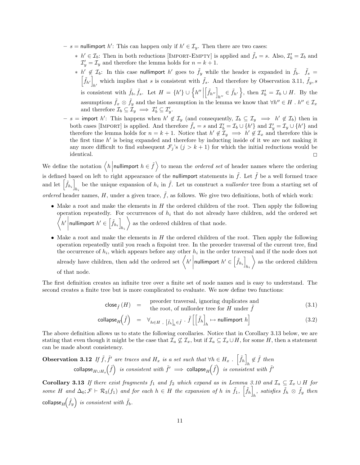- $-s =$  nullimport h': This can happen only if  $h' \in I_y$ . Then there are two cases:
	- \*  $h' \in \mathcal{I}_b$ : Then in both reductions [IMPORT-EMPTY] is applied and  $\tilde{f}_s = s$ . Also,  $\mathcal{I}'_b = \mathcal{I}_b$  and  $\mathcal{I}'_y = \mathcal{I}_y$  and therefore the lemma holds for  $n = k + 1$ .
	- \*  $h' \notin \mathcal{I}_b$ : In this case nullimport  $h'$  goes to  $\tilde{f}_y$  while the header is expanded in  $\tilde{f}_b$ .  $\tilde{f}_s$  =  $\left[\tilde{f}_{h'}\right]$  which implies that s is consistent with  $\tilde{f}_s$ . And therefore by Observation 3.11,  $\tilde{f}_y$ , s is consistent with  $\tilde{f}_b$ ,  $\tilde{f}_s$ . Let  $H = \{h'\} \cup \{h''\}$  $\left[\tilde{f}_{h''}\right]_{h''} \in \tilde{f}_{h'}\bigg\}$ , then  $\mathcal{I}'_b = \mathcal{I}_b \cup H$ . By the assumptions  $\tilde{f}_x \otimes \tilde{f}_y$  and the last assumption in the lemma we know that  $\forall h'' \in H$  .  $h'' \in \mathcal{I}_x$ and therefore  $\mathcal{I}_b \subseteq \mathcal{I}_y \implies \mathcal{I}'_b \subseteq \mathcal{I}'_y$ .
- $-s = \text{import } h'$ : This happens when  $h' \notin \mathcal{I}_y$  (and consequently,  $\mathcal{I}_b \subseteq \mathcal{I}_y \implies h' \notin \mathcal{I}_b$ ) then in both cases [IMPORT] is applied. And therefore  $\tilde{f}_s = s$  and  $\mathcal{I}'_b = \mathcal{I}_b \cup \{h'\}$  and  $\mathcal{I}'_y = \mathcal{I}_y \cup \{h'\}$  and therefore the lemma holds for  $n = k + 1$ . Notice that  $h' \notin \mathcal{I}_y \implies h' \notin \mathcal{I}_x$  and therefore this is the first time  $h'$  is being expanded and therefore by inducting inside of it we are not making it any more difficult to find subsequent  $\mathcal{F}_j$ 's  $(j > k + 1)$  for which the initial reductions would be  $\Box$ identical.

We define the notation  $\langle h \mid$  nullimport  $h \in \tilde{f}$  to mean the *ordered set* of header names where the ordering is defined based on left to right appearance of the nullimport statements in  $\tilde{f}$ . Let  $\tilde{f}$  be a well formed trace and let  $\left[\tilde{f}_{h_i}\right]$ be the unique expansion of  $h_i$  in  $\tilde{f}$ . Let us construct a *nullorder* tree from a starting set of ordered header names, H, under a given trace,  $\tilde{f}$ , as follows. We give two definitions, both of which work:

- Make a root and make the elements in  $H$  the ordered children of the root. Then apply the following operation repeatedly. For occurrences of  $h_i$  that do not already have children, add the ordered set  $\bigg\langle h' \bigg|$ nullimport  $h' \in \left[ \tilde{f}_{h_i} \right]_i$  $h_i$  $\bigg\}$  as the ordered children of that node.
- Make a root and make the elements in  $H$  the ordered children of the root. Then apply the following operation repeatedly until you reach a fixpoint tree. In the preorder traversal of the current tree, find the occurrence of  $h_i$ , which appears before any other  $h_i$  in the order traversal and if the node does not already have children, then add the ordered set  $\left\langle h' \right|$ nullimport  $h' \in \left\lceil \tilde{f}_{h_i} \right\rceil$ hi  $\Big\}$  as the ordered children of that node.

The first definition creates an infinite tree over a finite set of node names and is easy to understand. The second creates a finite tree but is more complicated to evaluate. We now define two functions:

$$
\mathsf{close}_{\tilde{f}}(H) = \text{preorder traversal, ignoring duplicates and} \n\text{the root, of nullorder tree for } H \text{ under } \tilde{f}
$$
\n(3.1)

$$
\text{collapse}_{H}\left(\tilde{f}\right) = \forall_{h \in H \text{ , } \left[\tilde{f}_{h}\right]_{h} \in \tilde{f}} \cdot \tilde{f}\left[\left[\tilde{f}_{h}\right]_{h} \mapsto \text{nullimport } h\right] \tag{3.2}
$$

The above definition allows us to state the following corollaries. Notice that in Corollary 3.13 below, we are stating that even though it might be the case that  $\mathcal{I}_a \not\subseteq \mathcal{I}_x$ , but if  $\mathcal{I}_a \subseteq \mathcal{I}_x \cup H$ , for some H, then a statement can be made about consistency.

**Observation 3.12** If 
$$
\tilde{f}
$$
,  $\tilde{f}'$  are traces and  $H_x$  is a set such that  $\forall h \in H_x$ .  $\left[\tilde{f}_h\right]_h \notin \tilde{f}$  then  
collapse<sub>H\cup H\_x</sub> $\left(\tilde{f}\right)$  is consistent with  $\tilde{f}' \implies$  collapse<sub>H</sub> $\left(\tilde{f}\right)$  is consistent with  $\tilde{f}'$ 

Corollary 3.13 If there exist fragments  $f_1$  and  $f_2$  which expand as in Lemma 3.10 and  $\mathcal{I}_a \subseteq \mathcal{I}_x \cup H$  for some H and  $\Delta_0; \mathcal{F} \vdash \mathcal{R}_3(f_1)$  and for each  $h \in H$  the expansion of h in  $\tilde{f}_1, \left[ \tilde{f}_h \right]$  $_{h}$ , satisfies  $\tilde{f}_{h} \otimes \tilde{f}_{y}$  then collapse $_{H}\! \left(\tilde{f}_{y}\right)$  is consistent with  $\tilde{f}_{b}.$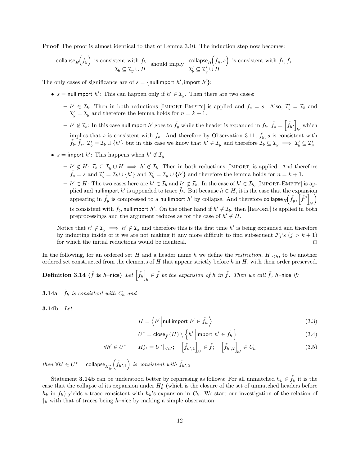**Proof** The proof is almost identical to that of Lemma 3.10. The induction step now becomes:

$$
\text{collapse}_{H}\left(\tilde{f}_{y}\right) \text{ is consistent with } \tilde{f}_{b} \text{ should imply } \text{ collapse}_{H}\left(\tilde{f}_{y}, s\right) \text{ is consistent with } \tilde{f}_{b}, \tilde{f}_{s}
$$
\n
$$
\mathcal{I}_{b} \subseteq \mathcal{I}_{y} \cup H \qquad \qquad \mathcal{I}_{b}' \subseteq \mathcal{I}_{y}' \cup H
$$

The only cases of significance are of  $s = \{\text{nullimport } h', \text{import } h'\}.$ 

- $s =$  nullimport  $h'$ : This can happen only if  $h' \in I_y$ . Then there are two cases:
	- $h' \in \mathcal{I}_b$ : Then in both reductions [IMPORT-EMPTY] is applied and  $\tilde{f}_s = s$ . Also,  $\mathcal{I}'_b = \mathcal{I}_b$  and  $\mathcal{I}'_y = \mathcal{I}_y$  and therefore the lemma holds for  $n = k + 1$ .
	- $h' \notin \mathcal{I}_b$ : In this case nullimport  $h'$  goes to  $\tilde{f}_y$  while the header is expanded in  $\tilde{f}_b$ .  $\tilde{f}_s = \left\lceil \tilde{f}_{h'} \right\rceil$  $h'$  which implies that s is consistent with  $\tilde{f}_s$ . And therefore by Observation 3.11,  $\tilde{f}_y$ , s is consistent with  $\tilde{f}_b, \tilde{f}_s, \mathcal{I}'_b = \mathcal{I}_b \cup \{h'\}$  but in this case we know that  $h' \in \mathcal{I}_y$  and therefore  $\mathcal{I}_b \subseteq \mathcal{I}_y \implies \mathcal{I}'_b \subseteq \mathcal{I}'_y$ .
- $s =$  import  $h'$ : This happens when  $h' \notin \mathcal{I}_y$ 
	- $h' \notin H: \mathcal{I}_b \subseteq \mathcal{I}_y \cup H \implies h' \notin \mathcal{I}_b$ . Then in both reductions [IMPORT] is applied. And therefore  $\tilde{f}_s = s$  and  $\mathcal{I}'_b = \mathcal{I}_b \cup \{h'\}$  and  $\mathcal{I}'_y = \mathcal{I}_y \cup \{h'\}$  and therefore the lemma holds for  $n = k + 1$ .
	- $h' \in H$ : The two cases here are  $h' \in \mathcal{I}_b$  and  $h' \notin \mathcal{I}_b$ . In the case of  $h' \in \mathcal{I}_b$ , [IMPORT-EMPTY] is applied and nullimport h' is appended to trace  $\tilde{f}_b$ . But because  $h \in H$ , it is the case that the expansion appearing in  $\tilde{f}_y$  is compressed to a nullimport  $h'$  by collapse. And therefore collapse $_H\left(\tilde{f}_y,\left\lceil\tilde{f}''\right\rceil\right)$  $h<sub>1</sub>$  $\setminus$ is consistent with  $\tilde{f}_b$ , nullimport h'. On the other hand if  $h' \notin \mathcal{I}_b$ , then [IMPORT] is applied in both preprocessings and the argument reduces as for the case of  $h' \notin H$ .

Notice that  $h' \notin \mathcal{I}_y \implies h' \notin \mathcal{I}_x$  and therefore this is the first time  $h'$  is being expanded and therefore by inducting inside of it we are not making it any more difficult to find subsequent  $\mathcal{F}_j$ 's  $(j > k + 1)$ for which the initial reductions would be identical.  $\Box$ 

In the following, for an ordered set H and a header name h we define the restriction,  $H|_{\leq h}$ , to be another ordered set constructed from the elements of  $H$  that appear strictly before  $h$  in  $H$ , with their order preserved.

Definition 3.14 (  $\tilde{f}$  is h–nice) Let  $\left\lceil \tilde{f}_h \right\rceil$  $\tilde{f}_h \in \tilde{f}$  be the expansion of h in  $\tilde{f}$ . Then we call  $\tilde{f}$ , h–nice if:

**3.14a**  $\hat{f}_h$  is consistent with  $C_h$  and

3.14b Let

$$
H = \langle h' | \text{nullimport } h' \in \tilde{f}_h \rangle \tag{3.3}
$$

$$
U^* = \text{close}_{\tilde{f}}\left(H\right) \setminus \left\{h'\left|\text{import }h' \in \tilde{f}_h\right.\right\} \tag{3.4}
$$

$$
\forall h' \in U^* \qquad H_{h'}^* = U^*|_{< h'}; \quad \left[\tilde{f}_{h',1}\right]_{h'} \in \tilde{f}; \quad \left[\tilde{f}_{h',2}\right]_{h'} \in C_h \tag{3.5}
$$

 $then \ \forall h' \in U^* \ \ . \ \ \text{collapse}_{H^*_{h'}}$  $(\tilde{f}_{h',1})$  is consistent with  $\tilde{f}_{h',2}$ 

Statement 3.14b can be understood better by rephrasing as follows: For all unmatched  $h_k \in f_h$  it is the case that the collapse of its expansion under  $H_k^*$  (which is the closure of the set of unmatched headers before  $h_k$  in  $f_h$ ) yields a trace consistent with  $h_k$ 's expansion in  $C_h$ . We start our investigation of the relation of  $\downarrow$ <sub>h</sub> with that of traces being h–nice by making a simple observation: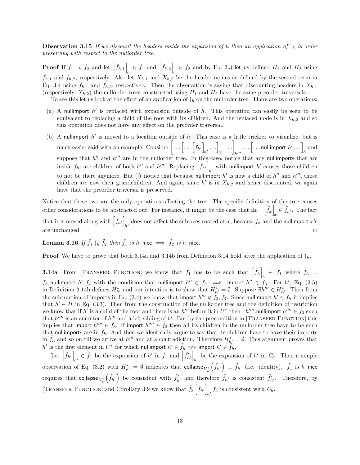**Observation 3.15** If we discount the headers inside the expansion of h then an application of  $\vert_{h}$  is order preserving with respect to the nullorder tree.

**Proof** If  $\tilde{f}_1 \upharpoonleft_h \tilde{f}_2$  and let  $\left[ \tilde{f}_{h,1} \right]$  $\hat{f}_h \in \tilde{f}_1$  and  $\left[ \tilde{f}_{h,2} \right]_n$  $h \in \tilde{f}_2$  and by Eq. 3.3 let us defined  $H_1$  and  $H_2$  using  $\hat{f}_{h,1}$  and  $\hat{f}_{h,2}$ , respectively. Also let  $X_{h,1}$  and  $X_{h,2}$  be the header names as defined by the second term in Eq. 3.4 using  $f_{h,1}$  and  $f_{h,2}$ , respectively. Then the observation is saying that discounting headers in  $X_{h,1}$ (respectively,  $X_{h,2}$ ) the nullorder trees constructed using  $H_1$  and  $H_2$  have the same preorder traversals.

To see this let us look at the effect of an application of  $\mathcal{L}_h$  on the nullorder tree. There are two operations:

- (a) A nullimport  $h'$  is replaced with expansion outside of  $h$ . This operation can easily be seen to be equivalent to replacing a child of the root with its children. And the replaced node is in  $X_{h,2}$  and so this operation does not have any effect on the preorder traversal.
- (b) A nullimport  $h'$  is moved to a location outside of  $h$ . This case is a little trickier to visualize, but is much easier said with an example: Consider  $\left[\ldots\left[\ldots\left[\widetilde{f}_{h'}\right]\right]\right]$  $\left[\ldots\right]_{h''} \cdots \Bigg]$  $h^{\prime\prime\prime}$  $\left[\ldots \left[\ldots \mathsf{nullimport}\;h'\ldots\right]_{h} \text{ and }\right.$ suppose that  $h''$  and  $h'''$  are in the nullorder tree. In this case, notice that any nullimports that are inside  $\tilde{f}_{h'}$  are children of both  $h''$  and  $h'''$ . Replacing  $\left[\tilde{f}_{h'}\right]$ with nullimport  $h'$  causes those children to not be there anymore. But (!) notice that because nullimport h' is now a child of h'' and h''', those children are now their grandchildren. And again, since  $h'$  is in  $X_{h,2}$  and hence discounted, we again have that the preorder traversal is preserved.

Notice that these two are the only operations affecting the tree. The specific definition of the tree causes other considerations to be abstracted out. For instance, it might be the case that  $\exists x \, . \, \left[ \tilde{f}_x \right] \, \in \tilde{f}_{h'}$ . The fact that it is moved along with  $\left[\tilde{f}_{h'}\right]$  does not affect the subtrees rooted at x, because  $\tilde{f}_x$  and the does not affect the subtrees rooted at x, because  $\tilde{f}_x$  and the nullimport x's are unchanged.  $\square$ 

Lemma 3.16 If  $\tilde f_1 \mid_h \tilde f_2$  then  $\tilde f_1$  is h–nice  $\implies \tilde f_2$  is h–nice.

**Proof** We have to prove that both 3.14a and 3.14b from Definition 3.14 hold after the application of  $\downarrow_h$ .

**3.14a** From [TRANSFER FUNCTION] we know that  $\tilde{f}_1$  has to be such that  $\begin{bmatrix} \tilde{f}_h \end{bmatrix}$  $\tilde{f}_h \in \tilde{f}_1$  where  $\tilde{f}_h =$  $\tilde{f}_3$ , nullimport  $h', \tilde{f}_4$  with the condition that nullimport  $h'' \in \tilde{f}_3 \implies$  import  $h'' \in \tilde{f}_3$ . For  $h',$  Eq. (3.5) in Definition 3.14b defines  $H_{h'}^*$  and our intention is to show that  $H_{h'}^* = \emptyset$ . Suppose  $\exists h''' \in H_{h'}^*$ . Then from the subtraction of imports in Eq. (3.4) we know that import  $h'' \notin \tilde{f}_3$ ,  $\tilde{f}_4$ . Since nullimport  $h' \in \tilde{f}_h$  it implies that  $h' \in H$  in Eq. (3.3). Then from the construction of the nullorder tree and the definition of restriction we know that if  $h'$  is a child of the root and there is an  $h'''$  before it in  $U^*$  then  $\exists h''''$  nullimport  $h'''' \in \tilde{f}_3$  such that  $h''''$  is an ancestor of  $h''$  and a left sibling of  $h'$ . But by the precondition in [TRANSFER FUNCTION] this implies that import  $h'''' \in \tilde{f}_3$ . If import  $h''' \in \tilde{f}_3$  then all its children in the nullorder tree have to be such that nullimports are in  $\tilde{f}_h$ . And then we identically argue to say that its children have to have their imports in  $\tilde{f}_h$  and so on till we arrive at  $h''$  and at a contradiction. Therefore  $H_{h'}^* = \emptyset$ . This argument proves that  $h'$  is the first element in  $U^*$  for which nullimport  $h' \in \tilde{f}_h \implies$  import  $h' \in \tilde{f}_h$ .

Let  $\left[ \tilde{f}_{h'} \right]$  $\tilde{f}_h \in \tilde{f}_1$  be the expansion of  $h'$  in  $\tilde{f}_1$  and  $\left[\tilde{f}_{h'}\right]_h$ be the expansion of  $h'$  in  $C_h$ . Then a simple observation of Eq. (3.2) with  $H_{h'}^* = \emptyset$  indicates that collapse $H_{h'}^*$  $(\tilde{f}_{h'}) \equiv \tilde{f}_{h'}$  (i.e. identity).  $\tilde{f}_1$  is *h*-nice requires that  $\operatorname{collapse}_{H^*_{h'}}$  $(\tilde{f}_{h'})$  be consistent with  $\tilde{f}_{h'}$  and therefore  $\tilde{f}_{h'}$  is consistent  $\tilde{f}_{h'}$ . Therefore, by [TRANSFER FUNCTION] and Corollary 3.9 we know that  $\tilde{f}_3 \left[ \tilde{f}_{h'} \right]$  $\tilde{f}_4$  is consistent with  $C_h$ .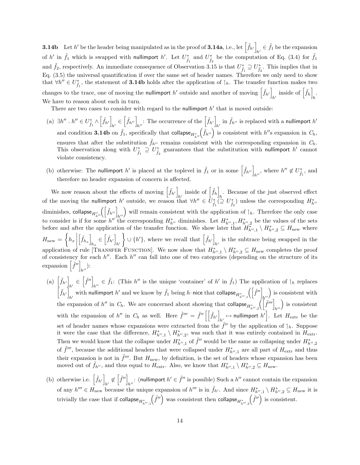**3.14b** Let h' be the header being manipulated as in the proof of **3.14a**, i.e., let  $\left[\tilde{f}_{h'}\right]$  $h' \in \tilde{f}_1$  be the expansion of h' in  $\tilde{f}_1$  which is swapped with nullimport h'. Let  $U_{\tilde{f}_1}^*$  and  $U_{\tilde{f}_2}^*$  be the computation of Eq. (3.4) for  $\tilde{f}_1$ and  $\tilde{f}_2$ , respectively. An immediate consequence of Observation 3.15 is that  $U_{\tilde{f}_1}^* \supseteq U_{\tilde{f}_2}^*$ . This implies that in Eq. (3.5) the universal quantification if over the same set of header names. Therefore we only need to show that  $\forall h'' \in U^*_{\tilde{f}_1}$ , the statement of 3.14b holds after the application of  $\mathcal{A}_h$ . The transfer function makes two changes to the trace, one of moving the nullimport  $h'$  outside and another of moving  $\left[\tilde{f}_{h'}\right]$  $h'$  inside of  $\left[\tilde{f}_h\right]_h$ h . We have to reason about each in turn.

There are two cases to consider with regard to the nullimport  $h'$  that is moved outside:

- (a)  $\exists h'' \cdot h'' \in U^*_{\tilde{f}_1} \wedge \left[\tilde{f}_{h'}\right]$  $\mathbf{h}_{h'} \in \left[ \tilde{f}_{h'} \right]_{h''}$ : The occurrence of the  $\left[ \tilde{f}_{h'} \right]_{h}$ in  $\tilde{f}_{h''}$  is replaced with a nullimport  $h'$ and condition 3.14b on  $\tilde{f}_1$ , specifically that collapse $H^*_{h''}(\tilde{f}_{h''})$  is consistent with  $h''$ s expansion in  $C_h$ , ensures that after the substitution  $\tilde{f}_{h''}$  remains consistent with the corresponding expansion in  $C_h$ . This observation along with  $U^*_{\tilde{f}_1} \supseteq U^*_{\tilde{f}_2}$  guarantees that the substitution with nullimport h' cannot violate consistency.
- (b) otherwise: The nullimport h' is placed at the toplevel in  $\tilde{f}_1$  or in some  $\left[\tilde{f}_{h''}\right]_{h''}$ , where  $h'' \notin U_{\tilde{f}_1}^*$ , and therefore no header expansion of concern is affected.

We now reason about the effects of moving  $\left[\tilde{f}_{h'}\right]$  $h'$  inside of  $\left[\tilde{f}_h\right]_h$ . Because of the just observed effect  $h$ of the moving the nullimport h' outside, we reason that  $\forall h'' \in \tilde{U}_{\tilde{f}_1}^* \subseteq U_{\tilde{f}_2}^*$  unless the corresponding  $H_{h''}^*$ diminishes, collapse $H^*_{h''}\left(\left[\tilde{f}_{h''}\right]_{h''}\right)$  will remain consistent with the application of  $\mathcal{A}_h$ . Therefore the only case to consider is if for some h'' the corresponding  $H_{h''}^*$  diminishes. Let  $H_{h'',1}^*, H_{h'',2}^*$  be the values of the sets before and after the application of the transfer function. We show later that  $H^*_{h'',1} \setminus H^*_{h'',2} \subseteq H_{\text{new}}$  where  $H_{\text{new}} = \left\{ h_x \middle|$  $\left[\tilde{f}_{h_x}\right]$  $h_x \in \left[ \tilde{f}_{h'} \right]$  $h<sup>′</sup>$  $\Big\} \cup \{h'\},\$  where we recall that  $\left[\tilde{f}_{h'}\right]$ is the subtrace being swapped in the  $h'$ application of rule [TRANSFER FUNCTION]. We now show that  $H^*_{h'',1} \setminus H^*_{h'',2} \subseteq H_{\text{new}}$  completes the proof of consistency for each  $h''$ . Each  $h''$  can fall into one of two categories (depending on the structure of its expansion  $\left[\tilde{f}^{\prime\prime}\right]$  $_{h''})$ :

- (a)  $\left[\tilde{f}_{h'}\right]$  $\delta_{h'} \in \left[ \tilde{f}^{\prime\prime} \right]_h$  $h'' \in \tilde{f}_1$ : (This  $h''$  is the unique 'container' of  $h'$  in  $\tilde{f}_1$ ) The application of  $\vert_h$  replaces  $\left[\tilde{f}_{h'}\right]$ with nullimport h' and we know by  $\tilde{f}_1$  being h–nice that collapse $H^*_{h'',1}(\left[\tilde{f}''\right]_{h''})$  is consistent with the expansion of h'' in  $C_h$ . We are concerned about showing that collapse<sub> $H^*_{h'',2}(\left[\tilde{f}'''\right]_{h''})$  is consistent</sub> with the expansion of h'' in  $C_h$  as well. Here  $\tilde{f}''' = \tilde{f}'' \left[ \left| \tilde{f}_{h'} \right| \right]$  $h'_h$  mullimport  $h'$ . Let  $H_{\text{extr}}$  be the set of header names whose expansions were extracted from the  $\tilde{f}''$  by the application of  $\mathfrak{f}_h$ . Suppose it were the case that the difference,  $H^*_{h'',1} \setminus H^*_{h'',2}$ , was such that it was entirely contained in  $H_{\text{extr}}$ . Then we would know that the collapse under  $H^*_{h'',1}$  of  $\tilde{f}''$  would be the same as collapsing under  $H^*_{h'',2}$ of  $\tilde{f}'''$ , because the additional headers that were collapsed under  $H_{h'',1}^*$  are all part of  $H_{\text{extr}}$  and thus their expansion is not in  $\tilde{f}'''$ . But  $H_{\text{new}}$ , by definition, is the set of headers whose expansion has been moved out of  $\tilde{f}_{h''}$ , and thus equal to  $H_{\text{extr}}$ . Also, we know that  $H_{h'',1}^* \setminus H_{h'',2}^* \subseteq H_{\text{new}}$ .
- (b) otherwise i.e.  $\left[\tilde{f}_{h'}\right]$  $\mathbf{h'}_h \notin \left[\tilde{f}''\right]_h$ : (nullimport  $h' \in \tilde{f}''$  is possible) Such a  $h''$  cannot contain the expansion of any  $h''' \in H_{\text{new}}$  because the unique expansion of  $h'''$  is in  $\tilde{f}_{h'}$ . And since  $H_{h'',1}^* \setminus H_{h'',2}^* \subseteq H_{\text{new}}$  it is trivially the case that if collapse $H^*_{h'',1}$  $\left(\tilde{f}^{\prime\prime}\right)$  was consistent then collapse $_{H_{h^{\prime\prime},2}^*}$  $(\tilde{f}^{\prime\prime})$  is consistent.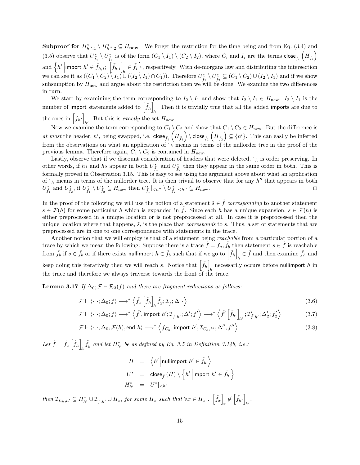**Subproof for**  $H^*_{h'',1} \setminus H^*_{h'',2} \subseteq H_{\text{new}}$  We forget the restriction for the time being and from Eq. (3.4) and (3.5) observe that  $U_{\tilde{f}_1}^* \setminus U_{\tilde{f}_2}^*$  is of the form  $(C_1 \setminus I_1) \setminus (C_2 \setminus I_2)$ , where  $C_i$  and  $I_i$  are the terms  $\text{close}_{\tilde{f}_i}$   $\left(H_{\tilde{f}_i}\right)$ and  $\left\{h'\middle|\text{import }h' \in \tilde{f}_{h,i}; \left[\tilde{f}_{h,i}\right]_{h} \in \tilde{f}_{i}\right\}$ , respectively. With de-morgans law and distributing the intersection we can see it as  $((C_1 \setminus C_2) \setminus I_1) \cup ((I_2 \setminus I_1) \cap C_1))$ . Therefore  $U^*_{\tilde{f}_1} \setminus U^*_{\tilde{f}_2} \subseteq (C_1 \setminus C_2) \cup (I_2 \setminus I_1)$  and if we show subsumption by  $H_{\text{new}}$  and argue about the restriction then we will be done. We examine the two differences in turn.

We start by examining the term corresponding to  $I_2 \setminus I_1$  and show that  $I_2 \setminus I_1 \in H_{\text{new}}$ .  $I_2 \setminus I_1$  is the number of import statements added to  $\left[\tilde{f}_{h}\right]$ . Then it is trivially true that all the added imports are due to  $h$ the ones in  $\left[\tilde{f}_{h'}\right]$ . But this is exactly the set  $H_{\text{new}}$ .

Now we examine the term corresponding to  $C_1 \setminus C_2$  and show that  $C_1 \setminus C_2 \in H_{\text{new}}$ . But the difference is at most the header, h', being swapped, i.e.  $\text{close}_{\tilde{f}_1}\left(H_{\tilde{f}_1}\right) \setminus \text{close}_{\tilde{f}_2}\left(H_{\tilde{f}_2}\right) \subseteq \{h'\}.$  This can easily be inferred from the observations on what an application of  $\frac{1}{h}$  means in terms of the nullorder tree in the proof of the previous lemma. Therefore again,  $C_1 \setminus C_2$  is contained in  $H_{\text{new}}$ .

Lastly, observe that if we discount consideration of headers that were deleted,  $\mathcal{A}_h$  is order preserving. In other words, if  $h_1$  and  $h_2$  appear in both  $U^*_{\tilde{f}_1}$  and  $U^*_{\tilde{f}_2}$  then they appear in the same order in both. This is formally proved in Observation 3.15. This is easy to see using the argument above about what an application of  $\vert_h$  means in terms of the nullorder tree. It is then trivial to observe that for any h'' that appears in both  $U^*_{\tilde{f}_1}$  and  $U^*_{\tilde{f}_2}$ , if  $U^*_{\tilde{f}_1} \setminus U^*_{\tilde{f}_2} \subseteq H_{\text{new}}$  then  $U^*_{\tilde{f}_1}|_{\langle h''} \setminus U^*_{\tilde{f}_2}|_{\langle h''} \subseteq H_{\text{new}}$ .

In the proof of the following we will use the notion of a statement  $\tilde{s} \in \tilde{f}$  corresponding to another statement  $s \in \mathcal{F}(h)$  for some particular h which is expanded in f. Since each h has a unique expansion,  $s \in \mathcal{F}(h)$  is either preprocessed in a unique location or is not preprocessed at all. In case it is preprocessed then the unique location where that happens,  $\tilde{s}$ , is the place that *corresponds* to s. Thus, a set of statements that are preprocessed are in one to one correspondence with statements in the trace.

Another notion that we will employ is that of a statement being *reachable* from a particular portion of a trace by which we mean the following: Suppose there is a trace  $\tilde{f} = \tilde{f}_a$ ,  $\tilde{f}_b$  then statement  $s \in \tilde{f}$  is reachable from  $\tilde{f}_b$  if  $s \in \tilde{f}_b$  or if there exists nullimport  $h \in \tilde{f}_b$  such that if we go to  $\left\lceil \tilde{f}_h \right\rceil$  $\tilde{f}_h \in \tilde{f}$  and then examine  $\tilde{f}_h$  and keep doing this iteratively then we will reach s. Notice that  $\left[\tilde{f}_h\right]$ necessarily occurs before nullimport  $h$  in the trace and therefore we always traverse towards the front of the trace.

**Lemma 3.17** If  $\Delta_0$ ;  $\mathcal{F} \vdash \mathcal{R}_3(f)$  and there are fragment reductions as follows:

$$
\mathcal{F} \vdash \langle \cdot; \cdot; \Delta_0; f \rangle \longrightarrow^* \left\langle \tilde{f}_x \left[ \tilde{f}_h \right]_h \tilde{f}_y; \mathcal{I}_{\tilde{f}}; \Delta; \cdot \right\rangle \tag{3.6}
$$

$$
\mathcal{F} \vdash \langle \cdot; \cdot; \Delta_0; f \rangle \longrightarrow^* \left\langle \tilde{f}', \text{import } h'; \mathcal{I}_{\tilde{f}, h'}; \Delta'; f' \right\rangle \longrightarrow^* \left\langle \tilde{f}' \left[ \tilde{f}_{h'} \right]_{h'}; \mathcal{I}'_{\tilde{f}, h'}; \Delta'_2; f'_2 \right\rangle
$$
(3.7)

$$
\mathcal{F} \vdash \langle \cdot; \cdot; \Delta_0; \mathcal{F}(h), \text{end } h \rangle \longrightarrow^* \left\langle \tilde{f}_{C_h}, \text{import } h'; \mathcal{I}_{C_h, h'}; \Delta''; f'' \right\rangle \tag{3.8}
$$

Let  $\tilde{f} = \tilde{f}_x \left[ \tilde{f}_h \right]$  $\tilde{f}_y$  and let  $H_{h'}^*$  be as defined by Eq. 3.5 in Definition 3.14b, i.e.:

$$
H = \langle h' | \text{nullimport } h' \in \tilde{f}_h \rangle
$$
  
\n
$$
U^* = \text{close}_{\tilde{f}}(H) \setminus \left\{ h' | \text{import } h' \in \tilde{f}_h \right\}
$$
  
\n
$$
H^*_{h'} = U^*|_{< h'}
$$

then  $\mathcal{I}_{C_h,h'} \subseteq H_{h'}^* \cup \mathcal{I}_{\tilde{f},h'} \cup H_x$ , for some  $H_x$  such that  $\forall x \in H_x$ .  $\left[\tilde{f}_x\right]$  $\mathbf{z} \notin \left[ \tilde{f}_{h'} \right]$  $h'$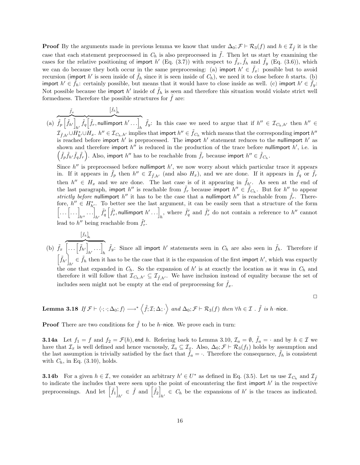**Proof** By the arguments made in previous lemma we know that under  $\Delta_0$ ;  $\mathcal{F} \vdash \mathcal{R}_3(f)$  and  $h \in \mathcal{I}_{\tilde{f}}$  it is the case that each statement preprocessed in  $C_h$  is also preprocessed in  $\tilde{f}$ . Then let us start by examining the cases for the relative positioning of import h' (Eq. (3.7)) with respect to  $\tilde{f}_x$ ,  $\tilde{f}_h$  and  $\tilde{f}_y$  (Eq. (3.6)), which we can do because they both occur in the same preprocessing: (a) import  $h' \in \tilde{f}_x$ : possible but to avoid recursion (import h' is seen inside of  $\tilde{f}_h$  since it is seen inside of  $C_h$ ), we need it to close before h starts. (b) import  $h' \in \tilde{f}_h$ : certainly possible, but means that it would have to close inside as well. (c) import  $h' \in \tilde{f}_y$ : Not possible because the import h' inside of  $\tilde{f}_h$  is seen and therefore this situation would violate strict well formedness. Therefore the possible structures for  $\hat{f}$  are:

(a)  $\tilde{f}_x$  $\widetilde{\tilde{f}_{p}\left[\tilde{f}_{h'}\right]_{\ldots}\tilde{f}_{q}}$  $\tilde{f}_q$  $\left[\tilde{f}_h\right]_h$  $\left[\tilde{f}_r,$  nullimport  $h' \dots \right]_h$   $\tilde{f}_y$ : In this case we need to argue that if  $h'' \in \mathcal{I}_{C_h,h'}$  then  $h'' \in$  $\mathcal{I}_{\tilde{f},h'}\cup H_{h'}^*\cup H_x$ .  $h''\in \mathcal{I}_{C_h,h'}$  implies that import  $h''\in \tilde{f}_{C_h}$  which means that the corresponding import  $h''$ is reached before import  $h'$  is preprocessed. The import  $h'$  statement reduces to the nullimport  $h'$  as shown and therefore import  $h''$  is reduced in the production of the trace before nullimport  $h'$ , i.e. in  $(\tilde{f}_p \tilde{f}_{h'} \tilde{f}_q \tilde{f}_r)$ . Also, import  $h''$  has to be reachable from  $\tilde{f}_r$  because import  $h'' \in \tilde{f}_{C_h}$ . Since  $h''$  is preprocessed before nullimport  $h'$ , we now worry about which particular trace it appears in. If it appears in  $\tilde{f}_p$  then  $h'' \in \mathcal{I}_{\tilde{f},h'}$  (and also  $H_x$ ), and we are done. If it appears in  $\tilde{f}_q$  or  $\tilde{f}_r$ then  $h'' \in H_x$  and we are done. The last case is of it appearing in  $\tilde{f}_{h'}$ . As seen at the end of the last paragraph, import h'' is reachable from  $\tilde{f}_r$  because import  $h'' \in \tilde{f}_{C_h}$ . But for  $h''$  to appear strictly before nullimport h'' it has to be the case that a nullimport h'' is reachable from  $\tilde{f}_r$ . Therefore,  $h'' \in H_{h'}^*$ . To better see the last argument, it can be easily seen that a structure of the form  $\left[\ldots\left[\ldots\right]_{h'},\ldots\right]_{h'}\tilde{f}'_q\left[\tilde{f}'_r,\text{nullimport }h'\ldots\right]_h$ , where  $\tilde{f}'_q$  and  $\tilde{f}'_r$  do not contain a reference to  $h''$  cannot

lead to  $h''$  being reachable from  $\tilde{f}'_r$ .

(b)  $\tilde{f}_x$  $\left[\tilde{f}_h\right]_h$  $\left[\ldots\left[\tilde{f}_{h'}\right]\ldots\right]$  $\left[\hat{f}_h, \ldots\right]_h$   $\tilde{f}_y$ : Since all import h' statements seen in  $C_h$  are also seen in  $\tilde{f}_h$ . Therefore if  $\left[\tilde{f}_{h'}\right]$  $\tilde{h}_h \in \tilde{f}_h$  then it has to be the case that it is the expansion of the first import  $h'$ , which was expactly the one that expanded in  $C_h$ . So the expansion of h' is at exactly the location as it was in  $C_h$  and therefore it will follow that  $\mathcal{I}_{C_h,h'} \subseteq \mathcal{I}_{\tilde{f},h'}$ . We have inclusion instead of equality because the set of includes seen might not be empty at the end of preprocessing for  $\tilde{f}_x$ .

 $\Box$ 

**Lemma 3.18** If 
$$
\mathcal{F} \vdash \langle \cdot; \cdot; \Delta_0; f \rangle \longrightarrow^* \langle f; \mathcal{I}; \Delta; \cdot \rangle
$$
 and  $\Delta_0; \mathcal{F} \vdash \mathcal{R}_3(f)$  then  $\forall h \in \mathcal{I}$ .  $\tilde{f}$  is h-nice.

**Proof** There are two conditions for  $\tilde{f}$  to be h–nice. We prove each in turn:

**3.14a** Let  $f_1 = f$  and  $f_2 = \mathcal{F}(h)$ , end h. Refering back to Lemma 3.10,  $\mathcal{I}_a = \emptyset$ ,  $\tilde{f}_a = \cdot$  and by  $h \in \mathcal{I}$  we have that  $\mathcal{I}_x$  is well defined and hence vacuously,  $\mathcal{I}_a \subseteq \mathcal{I}_x$ . Also,  $\Delta_0; \mathcal{F} \vdash \mathcal{R}_3(f_1)$  holds by assumption and the last assumption is trivially satisfied by the fact that  $\tilde{f}_a = \cdot$ . Therefore the consequence,  $\tilde{f}_h$  is consistent with  $C_h$ , in Eq. (3.10), holds.

**3.14b** For a given  $h \in \mathcal{I}$ , we consider an arbitrary  $h' \in U^*$  as defined in Eq. (3.5). Let us use  $\mathcal{I}_{C_h}$  and  $\mathcal{I}_{\tilde{f}}$ to indicate the includes that were seen upto the point of encountering the first import  $h'$  in the respective preprocessings. And let  $\left[\tilde{f}_1\right]$  $\hat{f}_{h'} \in \tilde{f}$  and  $\left[\tilde{f}_2\right]_h$  $C_h \in C_h$  be the expansions of h' is the traces as indicated.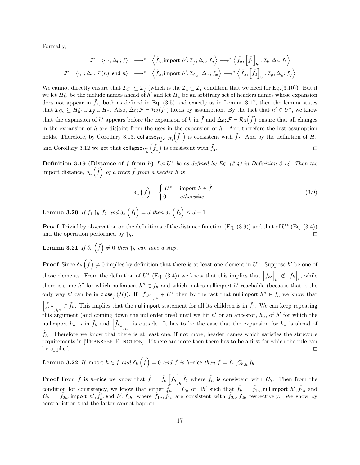Formally,

$$
\begin{array}{ccc}\mathcal{F}\vdash \langle\cdot;\cdot;\Delta_0;f\rangle & \longrightarrow^* & \left\langle \tilde{f}_a,\text{import } h';\mathcal{I}_{\tilde{f}};\Delta_a;f_a\right\rangle \longrightarrow^* \left\langle \tilde{f}_a,\left[\tilde{f}_1\right]_{h'};\mathcal{I}_b;\Delta_b;f_b\right\rangle\\ \mathcal{F}\vdash \left\langle\cdot;\cdot;\Delta_0;\mathcal{F}(h),\text{end }h\right\rangle & \longrightarrow^* & \left\langle \tilde{f}_x,\text{import } h';\mathcal{I}_{C_h};\Delta_x;f_x\right\rangle \longrightarrow^* \left\langle \tilde{f}_x,\left[\tilde{f}_2\right]_{h'};\mathcal{I}_y;\Delta_y;f_y\right\rangle\end{array}
$$

We cannot directly ensure that  $\mathcal{I}_{C_h} \subseteq \mathcal{I}_{\tilde{f}}$  (which is the  $\mathcal{I}_a \subseteq \mathcal{I}_x$  condition that we need for Eq.(3.10)). But if we let  $H_{h'}^*$  be the include names ahead of h' and let  $H_x$  be an arbitrary set of headers names whose expansion does not appear in  $\tilde{f}_1$ , both as defined in Eq. (3.5) and exactly as in Lemma 3.17, then the lemma states that  $\mathcal{I}_{C_h} \subseteq H_{h'}^* \cup \mathcal{I}_{\tilde{f}} \cup H_x$ . Also,  $\Delta_0; \mathcal{F} \vdash \mathcal{R}_3(f_1)$  holds by assumption. By the fact that  $h' \in U^*$ , we know that the expansion of h' appears before the expansion of h in  $\tilde{f}$  and  $\Delta_0$ ;  $\mathcal{F} \vdash \mathcal{R}_3(\tilde{f})$  ensure that all changes in the expansion of h are disjoint from the uses in the expansion of  $h'$ . And therefore the last assumption holds. Therefore, by Corollary 3.13,  $\mathop{\sf collapse}\nolimits_{H^*_h\cup H_x}$  $(\tilde{f}_1)$  is consistent with  $\tilde{f}_2$ . And by the definition of  $H_x$ and Corollary 3.12 we get that  $\mathop{\sf collapse}\nolimits_{H^*_{h'}}$  $(\tilde{f}_1)$  is consistent with  $\tilde{f}_2$ .

**Definition 3.19 (Distance of**  $\tilde{f}$  **from h)** Let  $U^*$  be as defined by Eq. (3.4) in Definition 3.14. Then the import distance,  $\delta_h(\tilde{f})$  of a trace  $\tilde{f}$  from a header h is

$$
\delta_h\left(\tilde{f}\right) = \begin{cases}\n|U^*| & \text{import } h \in \tilde{f}, \\
0 & \text{otherwise}\n\end{cases}
$$
\n(3.9)

**Lemma 3.20** If  $\tilde{f}_1 \parallel_h \tilde{f}_2$  and  $\delta_h \left( \tilde{f}_1 \right) = d$  then  $\delta_h \left( \tilde{f}_2 \right) \leq d-1$ .

**Proof** Trivial by observation on the definitions of the distance function  $(Eq. (3.9))$  and that of  $U^*$  (Eq.  $(3.4)$ ) and the operation performed by  $\downarrow_h$ .

**Lemma 3.21** If  $\delta_h(\tilde{f}) \neq 0$  then  $\mathcal{L}_h$  can take a step.

**Proof** Since  $\delta_h(\tilde{f}) \neq 0$  implies by definition that there is at least one element in  $U^*$ . Suppose  $h'$  be one of those elements. From the definition of  $U^*$  (Eq. (3.4)) we know that this implies that  $\left[\tilde{f}_{h'}\right]$  $h' \notin \left[\tilde{f}_h\right]_k$  $h$ , while there is some h'' for which nullimport  $h'' \in \tilde{f}_h$  and which makes nullimport h' reachable (because that is the only way h' can be in  $\operatorname{close}_{\tilde{f}}(H)$ ). If  $\left[\tilde{f}_{h''}\right]_{h''} \notin U^*$  then by the fact that nullimport  $h'' \in \tilde{f}_h$  we know that  $\left[\tilde{f}_{h''}\right]_{h} \in \tilde{f}_h$ . This implies that the nullimport statement for all its children is in  $\tilde{f}_h$ . We can keep repeating this argument (and coming down the nullorder tree) until we hit h' or an ancestor,  $h_a$ , of h' for which the nullimport  $h_a$  is in  $\tilde{f}_h$  and  $\left[\tilde{f}_{h_a}\right]$ is outside. It has to be the case that the expansion for  $h_a$  is ahead of  $h_a$  $\tilde{f}_h$ . Therefore we know that there is at least one, if not more, header names which satisfies the structure requirements in [TRANSFER FUNCTION]. If there are more then there has to be a first for which the rule can be applied.  $\Box$ 

Lemma 3.22  $\,$   $I\!f$  import  $\,h\in\tilde f\,$  and  $\delta_h\left(\tilde f\right)=0\,$  and  $\tilde f\,$  is  $h$  –nice then  $\tilde f=\tilde f_a\, [C_h]_h\,\tilde f_b.$ 

**Proof** From  $\tilde{f}$  is *h*-nice we know that  $\tilde{f} = \tilde{f}_a \left[ \tilde{f}_h \right]$  $h \tilde{f}_b$  where  $\tilde{f}_h$  is consistent with  $C_h$ . Then from the condition for consistency, we know that either  $\tilde{f}_h = C_h$  or  $\exists h'$  such that  $\tilde{f}_h = \tilde{f}_{1a}$ , nullimport  $h', \tilde{f}_{1b}$  and  $C_h = \tilde{f}_{2a}$ , import  $h', \tilde{f}'_h$ , end  $h', \tilde{f}_{2b}$ , where  $\tilde{f}_{1a}, \tilde{f}_{1b}$  are consistent with  $\tilde{f}_{2a}, \tilde{f}_{2b}$  respectively. We show by contradiction that the latter cannot happen.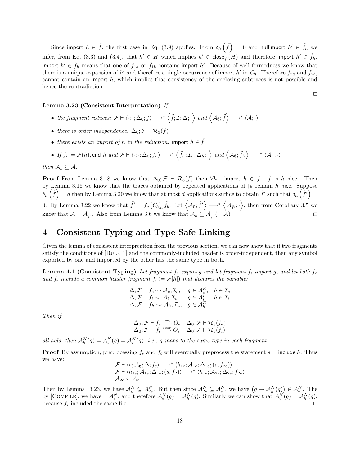Since import  $h \in \tilde{f}$ , the first case in Eq. (3.9) applies. From  $\delta_h(\tilde{f}) = 0$  and nullimport  $h' \in \tilde{f}_h$  we infer, from Eq. (3.3) and (3.4), that  $h' \in H$  which implies  $h' \in \text{close}_{\tilde{f}}(H)$  and therefore import  $h' \in \tilde{f}_h$ . import  $h' \in \tilde{f}_h$  means that one of  $\tilde{f}_{1a}$  or  $\tilde{f}_{1b}$  contains import h'. Because of well formedness we know that there is a unique expansion of h' and therefore a single occurrence of import h' in  $C_h$ . Therefore  $\tilde{f}_{2a}$  and  $\tilde{f}_{2b}$ , cannot contain an import h; which implies that consistency of the enclosing subtraces is not possible and hence the contradiction.

 $\Box$ 

#### Lemma 3.23 (Consistent Interpretation) If

- the fragment reduces:  $\mathcal{F} \vdash \langle \cdot; \cdot; \Delta_0; f \rangle \longrightarrow^* \langle \tilde{f}; \mathcal{I}; \Delta; \cdot \rangle$  and  $\langle A_{\emptyset}; \tilde{f} \rangle \longrightarrow^* \langle A; \cdot \rangle$
- there is order independence:  $\Delta_0; \mathcal{F} \vdash \mathcal{R}_3(f)$
- there exists an import of h in the reduction: import  $h \in f$

• If 
$$
f_h = \mathcal{F}(h)
$$
, end h and  $\mathcal{F} \vdash \langle \cdot; \cdot; \Delta_0; f_h \rangle \longrightarrow^* \langle \tilde{f}_h; \mathcal{I}_h; \Delta_h; \cdot \rangle$  and  $\langle A_\emptyset; \tilde{f}_h \rangle \longrightarrow^* \langle A_h; \cdot \rangle$ 

then  $\mathcal{A}_h \subseteq \mathcal{A}$ .

**Proof** From Lemma 3.18 we know that  $\Delta_0$ ;  $\mathcal{F} \vdash \mathcal{R}_3(f)$  then  $\forall h$  . import  $h \in \tilde{f}$ .  $\tilde{f}$  is h–nice. Then by Lemma 3.16 we know that the traces obtained by repeated applications of  $\mathcal{A}_h$  remain h–nice. Suppose  $\delta_h(\tilde{f})=d$  then by Lemma 3.20 we know that at most d applications suffice to obtain  $\tilde{f}'$  such that  $\delta_h(\tilde{f}')=$ 0. By Lemma 3.22 we know that  $\tilde{f}' = \tilde{f}_a [C_h]_h \tilde{f}_b$ . Let  $\langle A_\emptyset; \tilde{f}' \rangle \longrightarrow^* \langle A_{\tilde{f}'}; \cdot \rangle$ , then from Corollary 3.5 we know that  $\mathcal{A} = \mathcal{A}_{\tilde{f}}$ . Also from Lemma 3.6 we know that  $\mathcal{A}_h \subseteq \mathcal{A}_{\tilde{f}}(= \mathcal{A})$ 

# 4 Consistent Typing and Type Safe Linking

Given the lemma of consistent interpreation from the previous section, we can now show that if two fragments satisfy the conditions of [RULE 1] and the commonly-included header is order-independent, then any symbol exported by one and imported by the other has the same type in both.

**Lemma 4.1 (Consistent Typing)** Let fragment  $f_e$  export g and let fragment  $f_i$  import g, and let both  $f_e$ and  $f_i$  include a common header fragment  $f_h(=\mathcal{F}[h])$  that declares the variable:

$$
\Delta; \mathcal{F} \vdash f_e \leadsto \mathcal{A}_e; \mathcal{I}_e, \quad g \in \mathcal{A}_e^E, \quad h \in \mathcal{I}_e \n\Delta; \mathcal{F} \vdash f_i \leadsto \mathcal{A}_i; \mathcal{I}_i, \quad g \in \mathcal{A}_i^I, \quad h \in \mathcal{I}_i \n\Delta; \mathcal{F} \vdash f_h \leadsto \mathcal{A}_h; \mathcal{I}_h, \quad g \in \mathcal{A}_h^D
$$

Then if

$$
\Delta_0; \mathcal{F} \vdash f_e \stackrel{comp}{\longrightarrow} O_e \quad \Delta_0; \mathcal{F} \vdash \mathcal{R}_3(f_e) \Delta_0; \mathcal{F} \vdash f_i \stackrel{comp}{\longrightarrow} O_i \quad \Delta_0; \mathcal{F} \vdash \mathcal{R}_3(f_i)
$$

all hold, then  $\mathcal{A}_h^N(g) = \mathcal{A}_e^N(g) = \mathcal{A}_i^N(g)$ , i.e., g maps to the same type in each fragment.

**Proof** By assumption, preprocessing  $f_e$  and  $f_i$  will eventually preprocess the statement  $s =$  include h. Thus we have:

$$
\mathcal{F} \vdash \langle \circ; \mathcal{A}_{\emptyset}; \Delta; f_e \rangle \longrightarrow^* \langle h_{1e}; \mathcal{A}_{1e}; \Delta_{1e}; (s, f_{2e}) \rangle \n\mathcal{F} \vdash \langle h_{1e}; \mathcal{A}_{1e}; \Delta_{1e}; (s, f_2) \rangle \longrightarrow^* \langle h_{1e}; \mathcal{A}_{2e}; \Delta_{2e}; f_{2e} \rangle \n\mathcal{A}_{2e} \subseteq \mathcal{A}_{e}
$$

Then by Lemma 3.23, we have  $\mathcal{A}_h^N \subseteq \mathcal{A}_{2e}^N$ . But then since  $\mathcal{A}_{2e}^N \subseteq \mathcal{A}_{e}^N$ , we have  $(g \mapsto \mathcal{A}_{h}^N(g)) \in \mathcal{A}_{e}^N$ . The by [COMPILE], we have  $\vdash A_e^N$ , and therefore  $A_e^N(g) = A_h^N(g)$ . Similarly we can show that  $A_i^N(g) = A_h^N(g)$ , because  $f_i$  included the same file.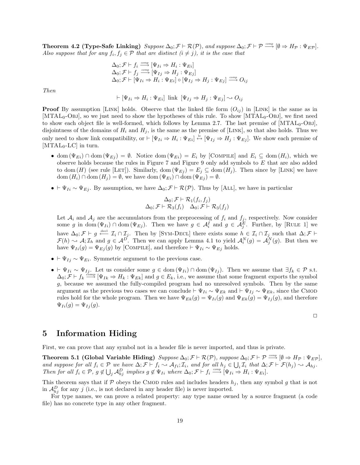**Theorem 4.2 (Type-Safe Linking)** Suppose  $\Delta_0$ ;  $\mathcal{F} \vdash \mathcal{R}(\mathcal{P})$ , and suppose  $\Delta_0$ ;  $\mathcal{F} \vdash \mathcal{P} \stackrel{comp}{\longrightarrow} [\emptyset \Rightarrow H_{\mathcal{P}} : \Psi_{EP}]$ . Also suppose that for any  $f_i, f_j \in \mathcal{P}$  that are distinct  $(i \neq j)$ , it is the case that

$$
\Delta_0; \mathcal{F} \vdash f_i \stackrel{comp}{\longrightarrow} [\Psi_{Ii} \Rightarrow H_i : \Psi_{Ei}]
$$
  
\n
$$
\Delta_0; \mathcal{F} \vdash f_j \stackrel{comp}{\longrightarrow} [\Psi_{Ij} \Rightarrow H_j : \Psi_{Ej}]
$$
  
\n
$$
\Delta_0; \mathcal{F} \vdash [\Psi_{Ii} \Rightarrow H_i : \Psi_{Ei}] \circ [\Psi_{Ij} \Rightarrow H_j : \Psi_{Ej}] \stackrel{comp}{\longrightarrow} O_{ij}
$$

Then

$$
\vdash [\Psi_{Ii} \Rightarrow H_i : \Psi_{Ei}] \text{ link } [\Psi_{Ij} \Rightarrow H_j : \Psi_{Ej}] \sim O_{ij}
$$

**Proof** By assumption [LINK] holds. Observe that the linked file form  $(O_{ij})$  in [LINK] is the same as in [MTAL<sub>0</sub>-Obj], so we just need to show the hypotheses of this rule. To show  $[MTAL_0-OBJ]$ , we first need to show each object file is well-formed, which follows by Lemma 2.7. The last premise of  $[MTAL_0-OBJ]$ , disjointness of the domains of  $H_i$  and  $H_j$ , is the same as the premise of [LINK], so that also holds. Thus we only need to show link compatibility, or  $\vdash [\Psi_{Ii} \Rightarrow H_i : \Psi_{Ei}] \stackrel{\text{lc}}{\leftrightarrow} [\Psi_{Ij} \Rightarrow H_j : \Psi_{Ej}]$ . We show each premise of  $[MTAL_0-LC]$  in turn.

- dom  $(\Psi_{E_i}) \cap$  dom  $(\Psi_{E_i}) = \emptyset$ . Notice dom  $(\Psi_{E_i}) = E_i$  by [COMPILE] and  $E_i \subseteq$  dom  $(H_i)$ , which we observe holds because the rules in Figure 7 and Figure 9 only add symbols to E that are also added to dom (H) (see rule [LET]). Similarly, dom  $(\Psi_{Ej}) = E_j \subseteq \text{dom}(H_j)$ . Then since by [LINK] we have dom  $(H_i) \cap \text{dom}(H_j) = \emptyset$ , we have dom  $(\Psi_{E_i}) \cap \text{dom}(\Psi_{E_j}) = \emptyset$ .
- $\Psi_{Ii} \sim \Psi_{Ej}$ . By assumption, we have  $\Delta_0; \mathcal{F} \vdash \mathcal{R}(\mathcal{P})$ . Thus by [ALL], we have in particular

$$
\Delta_0; \mathcal{F} \vdash \mathcal{R}_1(f_i, f_j) \n\Delta_0; \mathcal{F} \vdash \mathcal{R}_3(f_i) \quad \Delta_0; \mathcal{F} \vdash \mathcal{R}_3(f_j)
$$

Let  $A_i$  and  $A_j$  are the accumulators from the preprocessing of  $f_i$  and  $f_j$ , respectively. Now consider some g in dom  $(\Psi_{I_i}) \cap \text{dom}(\Psi_{E_j})$ . Then we have  $g \in \mathcal{A}_i^{\overline{I}}$  and  $g \in \mathcal{A}_j^{\overline{E}}$ . Further, by [RULE 1] we have  $\Delta_0; \mathcal{F} \vdash g \stackrel{\text{decl}}{\longleftarrow} \mathcal{I}_i \cap \mathcal{I}_j$ . Then by [SYM-DECL] there exists some  $h \in \mathcal{I}_i \cap \mathcal{I}_j$  such that  $\Delta; \mathcal{F} \vdash$  $\mathcal{F}(h) \sim \mathcal{A}; \mathcal{I}_h$  and  $g \in \mathcal{A}^D$ . Then we can apply Lemma 4.1 to yield  $\mathcal{A}_i^N(g) = \mathcal{A}_j^N(g)$ . But then we have  $\Psi_{Ii}(g) = \Psi_{Ej}(g)$  by [COMPILE], and therefore  $\vdash \Psi_{Ii} \sim \Psi_{Ej}$  holds.

- $\vdash \Psi_{I_i} \sim \Psi_{E_i}$ . Symmetric argument to the previous case.
- $\Psi_{Ii} \sim \Psi_{Ij}$ . Let us consider some  $g \in \text{dom}(\Psi_{Ii}) \cap \text{dom}(\Psi_{Ij})$ . Then we assume that  $\exists f_k \in \mathcal{P}$  s.t.  $\Delta_0; \mathcal{F} \vdash f_k \stackrel{\text{comp}}{\longrightarrow} [\Psi_{Ik} \Rightarrow H_k : \Psi_{Ek}]$  and  $g \in E_k$ , i.e., we assume that some fragment exports the symbol g, because we assumed the fully-compiled program had no unresolved symbols. Then by the same argument as the previous two cases we can conclude  $\vdash \Psi_{Ii} \sim \Psi_{Ek}$  and  $\vdash \Psi_{Ij} \sim \Psi_{Ek}$ , since the CMOD rules hold for the whole program. Then we have  $\Psi_{Ek}(g) = \Psi_{li}(g)$  and  $\Psi_{Ek}(g) = \Psi_{lj}(g)$ , and therefore  $\Psi_{Ii}(g) = \Psi_{Ij}(g).$

$$
\Box
$$

# 5 Information Hiding

First, we can prove that any symbol not in a header file is never imported, and thus is private.

Theorem 5.1 (Global Variable Hiding)  $Suppose \Delta_0; \mathcal{F} \vdash \mathcal{R}(\mathcal{P}), suppose \Delta_0; \mathcal{F} \vdash \mathcal{P} \stackrel{comp}{\longrightarrow} [\emptyset \Rightarrow H_{\mathcal{P}} : \Psi_{E\mathcal{P}}]$ and suppose for all  $f_i \in \mathcal{P}$  we have  $\Delta; \mathcal{F} \vdash f_i \leadsto \mathcal{A}_{fi}$ ;  $\mathcal{I}_i$ , and for all  $h_j \in \bigcup_i \mathcal{I}_i$  that  $\Delta; \mathcal{F} \vdash \mathcal{F}(h_j) \leadsto \mathcal{A}_{hj}$ . Then for all  $f_i \in \mathcal{P}, g \notin \bigcup_j \mathcal{A}_{hj}^D$  implies  $g \notin \Psi_{Ii}$  where  $\Delta_0; \mathcal{F} \vdash f_i \stackrel{comp}{\longrightarrow} [\Psi_{Ii} \Rightarrow H_i : \Psi_{Ei}].$ 

This theorem says that if  $P$  obeys the CMOD rules and includes headers  $h_j$ , then any symbol g that is not in  $\mathcal{A}_{hj}^D$  for any j (i.e., is not declared in any header file) is never imported.

For type names, we can prove a related property: any type name owned by a source fragment (a code file) has no concrete type in any other fragment.